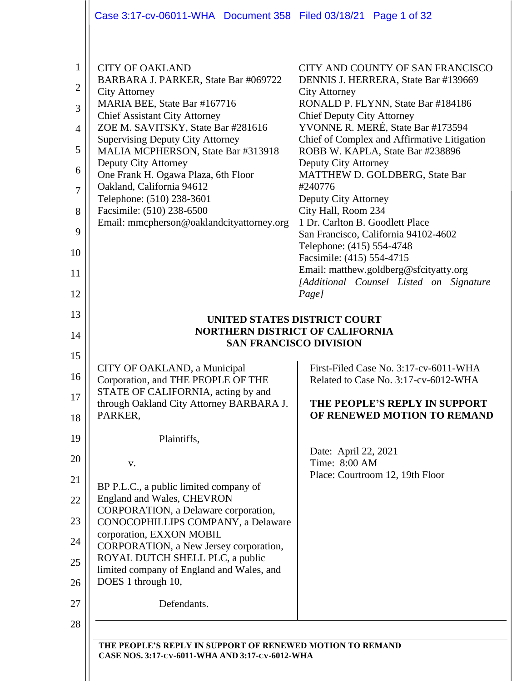|                                                                                            | Case 3:17-cv-06011-WHA  Document 358  Filed 03/18/21  Page 1 of 32                                                                                                                                                                                                                                                                                                                                                                                                                       |                                                                                                                                                                                                                                                                                                                                                                                                                                                                                                                                                                                                        |  |
|--------------------------------------------------------------------------------------------|------------------------------------------------------------------------------------------------------------------------------------------------------------------------------------------------------------------------------------------------------------------------------------------------------------------------------------------------------------------------------------------------------------------------------------------------------------------------------------------|--------------------------------------------------------------------------------------------------------------------------------------------------------------------------------------------------------------------------------------------------------------------------------------------------------------------------------------------------------------------------------------------------------------------------------------------------------------------------------------------------------------------------------------------------------------------------------------------------------|--|
| $\mathbf{1}$<br>2<br>3<br>$\overline{4}$<br>5<br>6<br>$\overline{7}$<br>8<br>9<br>10<br>11 | <b>CITY OF OAKLAND</b><br>BARBARA J. PARKER, State Bar #069722<br><b>City Attorney</b><br>MARIA BEE, State Bar #167716<br><b>Chief Assistant City Attorney</b><br>ZOE M. SAVITSKY, State Bar #281616<br><b>Supervising Deputy City Attorney</b><br>MALIA MCPHERSON, State Bar #313918<br>Deputy City Attorney<br>One Frank H. Ogawa Plaza, 6th Floor<br>Oakland, California 94612<br>Telephone: (510) 238-3601<br>Facsimile: (510) 238-6500<br>Email: mmcpherson@oaklandcityattorney.org | CITY AND COUNTY OF SAN FRANCISCO<br>DENNIS J. HERRERA, State Bar #139669<br><b>City Attorney</b><br>RONALD P. FLYNN, State Bar #184186<br><b>Chief Deputy City Attorney</b><br>YVONNE R. MERÉ, State Bar #173594<br>Chief of Complex and Affirmative Litigation<br>ROBB W. KAPLA, State Bar #238896<br>Deputy City Attorney<br>MATTHEW D. GOLDBERG, State Bar<br>#240776<br>Deputy City Attorney<br>City Hall, Room 234<br>1 Dr. Carlton B. Goodlett Place<br>San Francisco, California 94102-4602<br>Telephone: (415) 554-4748<br>Facsimile: (415) 554-4715<br>Email: matthew.goldberg@sfcityatty.org |  |
| 12                                                                                         |                                                                                                                                                                                                                                                                                                                                                                                                                                                                                          | [Additional Counsel Listed on Signature<br>Page]                                                                                                                                                                                                                                                                                                                                                                                                                                                                                                                                                       |  |
| 13                                                                                         | UNITED STATES DISTRICT COURT                                                                                                                                                                                                                                                                                                                                                                                                                                                             |                                                                                                                                                                                                                                                                                                                                                                                                                                                                                                                                                                                                        |  |
| 14                                                                                         | <b>NORTHERN DISTRICT OF CALIFORNIA</b><br><b>SAN FRANCISCO DIVISION</b>                                                                                                                                                                                                                                                                                                                                                                                                                  |                                                                                                                                                                                                                                                                                                                                                                                                                                                                                                                                                                                                        |  |
| 15                                                                                         |                                                                                                                                                                                                                                                                                                                                                                                                                                                                                          |                                                                                                                                                                                                                                                                                                                                                                                                                                                                                                                                                                                                        |  |
|                                                                                            |                                                                                                                                                                                                                                                                                                                                                                                                                                                                                          |                                                                                                                                                                                                                                                                                                                                                                                                                                                                                                                                                                                                        |  |
| 16                                                                                         | CITY OF OAKLAND, a Municipal<br>Corporation, and THE PEOPLE OF THE                                                                                                                                                                                                                                                                                                                                                                                                                       | First-Filed Case No. 3:17-cv-6011-WHA<br>Related to Case No. 3:17-cv-6012-WHA                                                                                                                                                                                                                                                                                                                                                                                                                                                                                                                          |  |
| 17<br>18                                                                                   | STATE OF CALIFORNIA, acting by and<br>through Oakland City Attorney BARBARA J.<br>PARKER,                                                                                                                                                                                                                                                                                                                                                                                                | THE PEOPLE'S REPLY IN SUPPORT<br>OF RENEWED MOTION TO REMAND                                                                                                                                                                                                                                                                                                                                                                                                                                                                                                                                           |  |
| 19                                                                                         | Plaintiffs,                                                                                                                                                                                                                                                                                                                                                                                                                                                                              |                                                                                                                                                                                                                                                                                                                                                                                                                                                                                                                                                                                                        |  |
| 20                                                                                         | V.                                                                                                                                                                                                                                                                                                                                                                                                                                                                                       | Date: April 22, 2021<br>Time: 8:00 AM                                                                                                                                                                                                                                                                                                                                                                                                                                                                                                                                                                  |  |
| 21                                                                                         | BP P.L.C., a public limited company of                                                                                                                                                                                                                                                                                                                                                                                                                                                   | Place: Courtroom 12, 19th Floor                                                                                                                                                                                                                                                                                                                                                                                                                                                                                                                                                                        |  |
| 22                                                                                         | England and Wales, CHEVRON<br>CORPORATION, a Delaware corporation,                                                                                                                                                                                                                                                                                                                                                                                                                       |                                                                                                                                                                                                                                                                                                                                                                                                                                                                                                                                                                                                        |  |
| 23                                                                                         | CONOCOPHILLIPS COMPANY, a Delaware<br>corporation, EXXON MOBIL                                                                                                                                                                                                                                                                                                                                                                                                                           |                                                                                                                                                                                                                                                                                                                                                                                                                                                                                                                                                                                                        |  |
| 24                                                                                         | CORPORATION, a New Jersey corporation,<br>ROYAL DUTCH SHELL PLC, a public                                                                                                                                                                                                                                                                                                                                                                                                                |                                                                                                                                                                                                                                                                                                                                                                                                                                                                                                                                                                                                        |  |
| 25                                                                                         | limited company of England and Wales, and<br>DOES 1 through 10,                                                                                                                                                                                                                                                                                                                                                                                                                          |                                                                                                                                                                                                                                                                                                                                                                                                                                                                                                                                                                                                        |  |
| 26<br>27                                                                                   | Defendants.                                                                                                                                                                                                                                                                                                                                                                                                                                                                              |                                                                                                                                                                                                                                                                                                                                                                                                                                                                                                                                                                                                        |  |
| 28                                                                                         |                                                                                                                                                                                                                                                                                                                                                                                                                                                                                          |                                                                                                                                                                                                                                                                                                                                                                                                                                                                                                                                                                                                        |  |
|                                                                                            | THE PEOPLE'S REPLY IN SUPPORT OF RENEWED MOTION TO REMAND                                                                                                                                                                                                                                                                                                                                                                                                                                |                                                                                                                                                                                                                                                                                                                                                                                                                                                                                                                                                                                                        |  |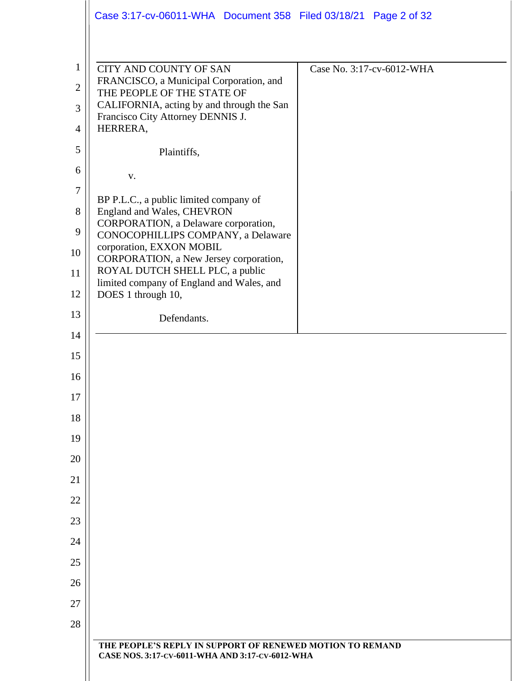|                  | Case 3:17-cv-06011-WHA Document 358 Filed 03/18/21 Page 2 of 32                                              |                           |
|------------------|--------------------------------------------------------------------------------------------------------------|---------------------------|
| $\mathbf{1}$     | <b>CITY AND COUNTY OF SAN</b>                                                                                | Case No. 3:17-cv-6012-WHA |
| $\mathbf{2}$     | FRANCISCO, a Municipal Corporation, and<br>THE PEOPLE OF THE STATE OF                                        |                           |
| 3                | CALIFORNIA, acting by and through the San<br>Francisco City Attorney DENNIS J.                               |                           |
| $\overline{4}$   | HERRERA,                                                                                                     |                           |
| 5                | Plaintiffs,                                                                                                  |                           |
| 6                | V.                                                                                                           |                           |
| $\boldsymbol{7}$ | BP P.L.C., a public limited company of                                                                       |                           |
| 8                | England and Wales, CHEVRON<br>CORPORATION, a Delaware corporation,                                           |                           |
| 9                | CONOCOPHILLIPS COMPANY, a Delaware                                                                           |                           |
| 10               | corporation, EXXON MOBIL<br>CORPORATION, a New Jersey corporation,                                           |                           |
| 11               | ROYAL DUTCH SHELL PLC, a public<br>limited company of England and Wales, and                                 |                           |
| 12               | DOES 1 through 10,                                                                                           |                           |
| 13               | Defendants.                                                                                                  |                           |
| 14               |                                                                                                              |                           |
| 15               |                                                                                                              |                           |
| 16               |                                                                                                              |                           |
| 17               |                                                                                                              |                           |
| 18               |                                                                                                              |                           |
| 19               |                                                                                                              |                           |
| 20               |                                                                                                              |                           |
| 21               |                                                                                                              |                           |
| 22               |                                                                                                              |                           |
| 23               |                                                                                                              |                           |
| 24               |                                                                                                              |                           |
| 25               |                                                                                                              |                           |
| 26               |                                                                                                              |                           |
| 27               |                                                                                                              |                           |
| 28               |                                                                                                              |                           |
|                  | THE PEOPLE'S REPLY IN SUPPORT OF RENEWED MOTION TO REMAND<br>CASE NOS. 3:17-CV-6011-WHA AND 3:17-CV-6012-WHA |                           |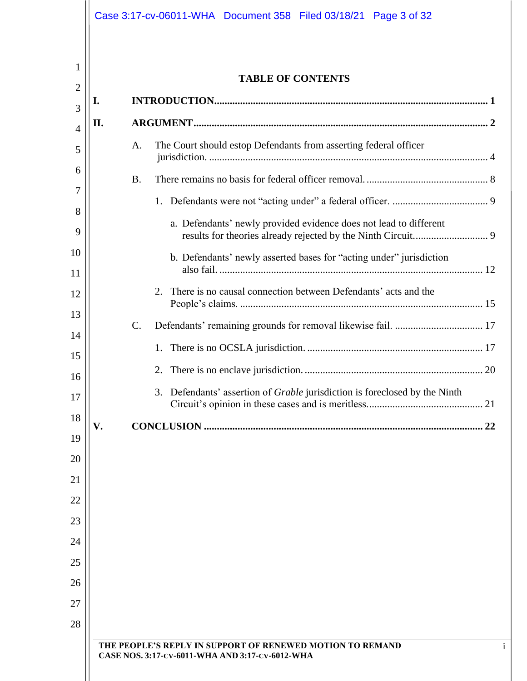|         | <b>TABLE OF CONTENTS</b>                                                          |  |
|---------|-----------------------------------------------------------------------------------|--|
| I.<br>3 |                                                                                   |  |
| II.     |                                                                                   |  |
|         | The Court should estop Defendants from asserting federal officer<br>A.            |  |
|         | <b>B.</b>                                                                         |  |
|         | 1.                                                                                |  |
|         | a. Defendants' newly provided evidence does not lead to different                 |  |
|         | b. Defendants' newly asserted bases for "acting under" jurisdiction               |  |
|         | There is no causal connection between Defendants' acts and the<br>2.              |  |
|         |                                                                                   |  |
|         | $\mathcal{C}$ .                                                                   |  |
|         |                                                                                   |  |
|         | 2.                                                                                |  |
|         | 3. Defendants' assertion of <i>Grable</i> jurisdiction is foreclosed by the Ninth |  |
| V.      |                                                                                   |  |
|         |                                                                                   |  |
|         |                                                                                   |  |
|         |                                                                                   |  |
|         |                                                                                   |  |
|         |                                                                                   |  |
|         |                                                                                   |  |
|         |                                                                                   |  |
|         |                                                                                   |  |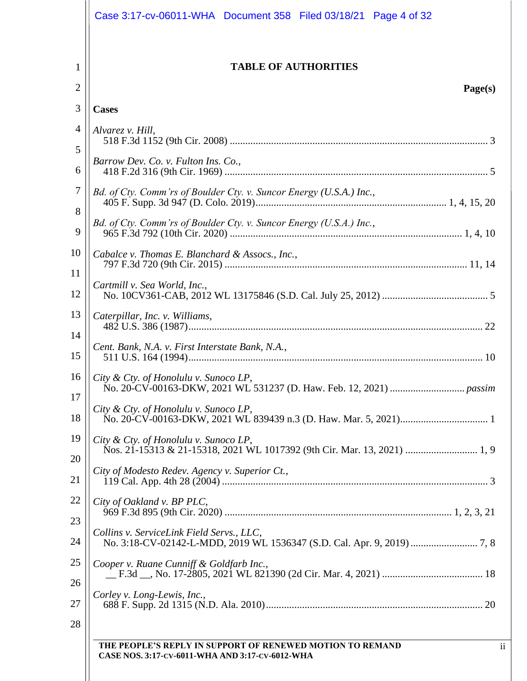|                | Case 3:17-cv-06011-WHA  Document 358  Filed 03/18/21  Page 4 of 32                                                            |
|----------------|-------------------------------------------------------------------------------------------------------------------------------|
| 1<br>2         | <b>TABLE OF AUTHORITIES</b><br>Page(s)                                                                                        |
| 3              | <b>Cases</b>                                                                                                                  |
| $\overline{4}$ | Alvarez v. Hill,                                                                                                              |
| 5              |                                                                                                                               |
| 6              | Barrow Dev. Co. v. Fulton Ins. Co.,                                                                                           |
| 7              | Bd. of Cty. Comm'rs of Boulder Cty. v. Suncor Energy (U.S.A.) Inc.,                                                           |
| 8<br>9         | Bd. of Cty. Comm'rs of Boulder Cty. v. Suncor Energy (U.S.A.) Inc.,                                                           |
| 10<br>11       | Cabalce v. Thomas E. Blanchard & Assocs., Inc.,                                                                               |
| 12             | Cartmill v. Sea World, Inc.,                                                                                                  |
| 13<br>14       | Caterpillar, Inc. v. Williams,                                                                                                |
| 15             | Cent. Bank, N.A. v. First Interstate Bank, N.A.,                                                                              |
| 16<br>17       |                                                                                                                               |
| 18             | City & Cty. of Honolulu v. Sunoco LP,                                                                                         |
| 19<br>20       | City & Cty. of Honolulu v. Sunoco LP,                                                                                         |
| 21             | City of Modesto Redev. Agency v. Superior Ct.,                                                                                |
| 22<br>23       | City of Oakland v. BP PLC,                                                                                                    |
| 24             | Collins v. ServiceLink Field Servs., LLC,                                                                                     |
| 25<br>26       | Cooper v. Ruane Cunniff & Goldfarb Inc.,                                                                                      |
| 27             | Corley v. Long-Lewis, Inc.,                                                                                                   |
| 28             |                                                                                                                               |
|                | $\mathbf{ii}$<br>THE PEOPLE'S REPLY IN SUPPORT OF RENEWED MOTION TO REMAND<br>CASE NOS. 3:17-CV-6011-WHA AND 3:17-CV-6012-WHA |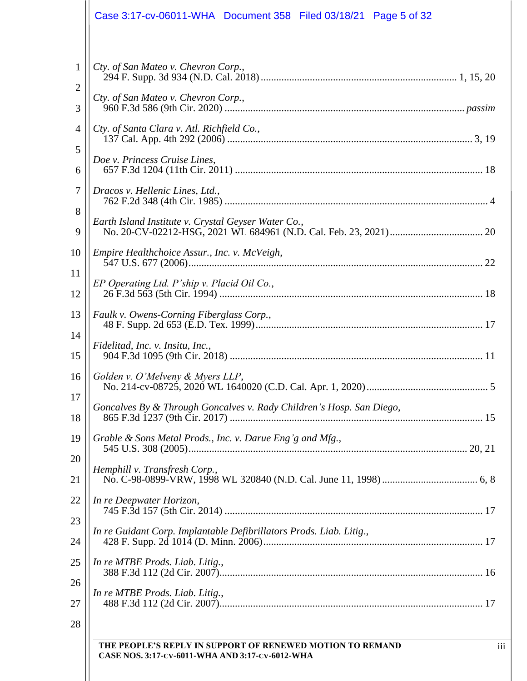|                        | Case 3:17-cv-06011-WHA  Document 358  Filed 03/18/21  Page 5 of 32                                                                |
|------------------------|-----------------------------------------------------------------------------------------------------------------------------------|
| $\mathbf{1}$<br>2<br>3 | Cty. of San Mateo v. Chevron Corp.,<br>Cty. of San Mateo v. Chevron Corp.,                                                        |
| $\overline{4}$<br>5    | Cty. of Santa Clara v. Atl. Richfield Co.,<br>Doe v. Princess Cruise Lines,                                                       |
| 6<br>7<br>8            | Dracos v. Hellenic Lines, Ltd.,                                                                                                   |
| 9<br>10                | Earth Island Institute v. Crystal Geyser Water Co.,<br>Empire Healthchoice Assur., Inc. v. McVeigh,                               |
| 11<br>12               | EP Operating Ltd. P'ship v. Placid Oil Co.,                                                                                       |
| 13<br>14               | Faulk v. Owens-Corning Fiberglass Corp.,<br>Fidelitad, Inc. v. Insitu, Inc.,                                                      |
| 15<br>16<br>17         | Golden v. O'Melveny & Myers LLP,                                                                                                  |
| 18<br>19               | Goncalves By & Through Goncalves v. Rady Children's Hosp. San Diego,<br>Grable & Sons Metal Prods., Inc. v. Darue Eng'g and Mfg., |
| 20<br>21               | Hemphill v. Transfresh Corp.,                                                                                                     |
| 22<br>23               | In re Deepwater Horizon,                                                                                                          |
| 24<br>25               | In re Guidant Corp. Implantable Defibrillators Prods. Liab. Litig.,<br>In re MTBE Prods. Liab. Litig.,                            |
| 26<br>27               | In re MTBE Prods. Liab. Litig.,                                                                                                   |
| 28                     | iii<br>THE PEOPLE'S REPLY IN SUPPORT OF RENEWED MOTION TO REMAND<br>CASE NOS. 3:17-CV-6011-WHA AND 3:17-CV-6012-WHA               |
|                        |                                                                                                                                   |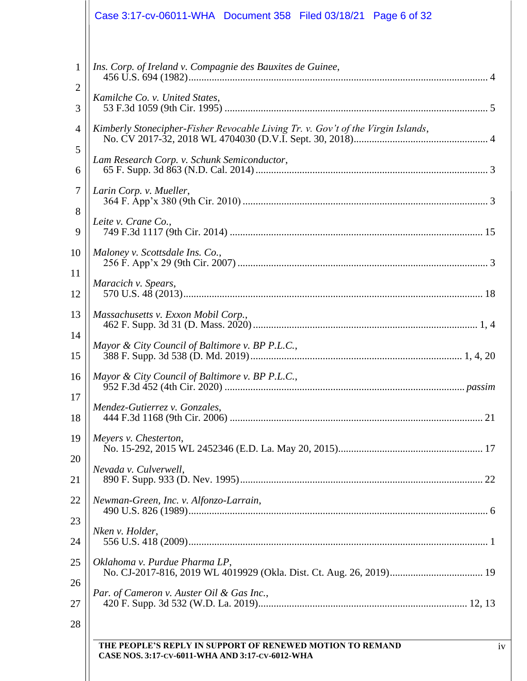|                   | Case 3:17-cv-06011-WHA  Document 358  Filed 03/18/21  Page 6 of 32                                                 |
|-------------------|--------------------------------------------------------------------------------------------------------------------|
| $\mathbf{1}$<br>2 | Ins. Corp. of Ireland v. Compagnie des Bauxites de Guinee,                                                         |
| 3                 | Kamilche Co. v. United States,                                                                                     |
| 4                 | Kimberly Stonecipher-Fisher Revocable Living Tr. v. Gov't of the Virgin Islands,                                   |
| 5<br>6            | Lam Research Corp. v. Schunk Semiconductor,                                                                        |
| $\overline{7}$    | Larin Corp. v. Mueller,                                                                                            |
| 8<br>9            | Leite v. Crane Co.,                                                                                                |
| 10                | Maloney v. Scottsdale Ins. Co.,                                                                                    |
| 11<br>12          | Maracich v. Spears,                                                                                                |
| 13                | Massachusetts v. Exxon Mobil Corp.,                                                                                |
| 14<br>15          |                                                                                                                    |
| 16                | Mayor & City Council of Baltimore v. BP P.L.C.,                                                                    |
| 17<br>18          | Mendez-Gutierrez v. Gonzales,                                                                                      |
| 19                | Meyers v. Chesterton,                                                                                              |
| 20<br>21          | Nevada v. Culverwell,                                                                                              |
| 22                | Newman-Green, Inc. v. Alfonzo-Larrain,                                                                             |
| 23<br>24          | Nken v. Holder,                                                                                                    |
| 25                | Oklahoma v. Purdue Pharma LP,                                                                                      |
| 26<br>27          | Par. of Cameron v. Auster Oil & Gas Inc.,                                                                          |
| 28                |                                                                                                                    |
|                   | THE PEOPLE'S REPLY IN SUPPORT OF RENEWED MOTION TO REMAND<br>iv<br>CASE NOS. 3:17-CV-6011-WHA AND 3:17-CV-6012-WHA |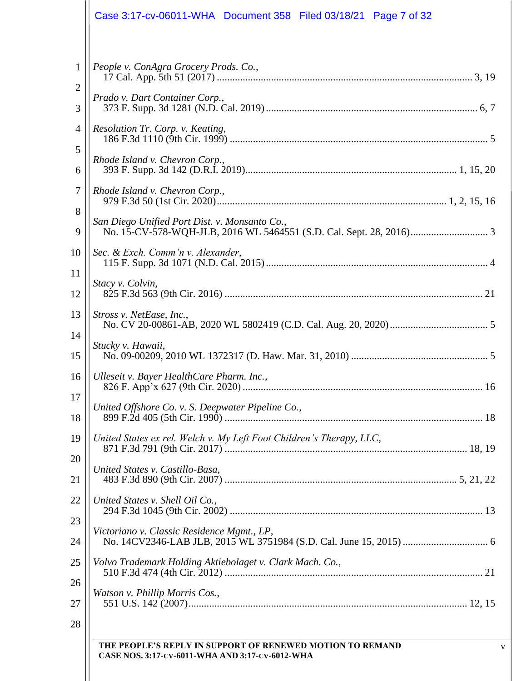|                                                                           | Case 3:17-cv-06011-WHA  Document 358  Filed 03/18/21  Page 7 of 32                                                                                                                                                               |
|---------------------------------------------------------------------------|----------------------------------------------------------------------------------------------------------------------------------------------------------------------------------------------------------------------------------|
| $\mathbf{1}$<br>$\overline{2}$<br>3<br>$\overline{4}$<br>5<br>6<br>7<br>8 | People v. ConAgra Grocery Prods. Co.,<br>Prado v. Dart Container Corp.,<br>Resolution Tr. Corp. v. Keating,<br>Rhode Island v. Chevron Corp.,<br>Rhode Island v. Chevron Corp.,<br>San Diego Unified Port Dist. v. Monsanto Co., |
| 9<br>10<br>11                                                             | Sec. & Exch. Comm'n v. Alexander,                                                                                                                                                                                                |
| 12<br>13<br>14                                                            | Stacy v. Colvin,<br>Stross v. NetEase, Inc.,<br>Stucky v. Hawaii,                                                                                                                                                                |
| 15<br>16<br>17                                                            | Ulleseit v. Bayer HealthCare Pharm. Inc.,                                                                                                                                                                                        |
| 18<br>19                                                                  | United Offshore Co. v. S. Deepwater Pipeline Co.,<br>United States ex rel. Welch v. My Left Foot Children's Therapy, LLC,                                                                                                        |
| 20<br>21<br>22                                                            | United States v. Castillo-Basa,<br>United States v. Shell Oil Co.,                                                                                                                                                               |
| 23<br>24                                                                  | Victoriano v. Classic Residence Mgmt., LP,                                                                                                                                                                                       |
| 25<br>26<br>27                                                            | Volvo Trademark Holding Aktiebolaget v. Clark Mach. Co.,<br>Watson v. Phillip Morris Cos.,                                                                                                                                       |
| 28                                                                        | THE PEOPLE'S REPLY IN SUPPORT OF RENEWED MOTION TO REMAND<br>V                                                                                                                                                                   |
|                                                                           | CASE NOS. 3:17-CV-6011-WHA AND 3:17-CV-6012-WHA                                                                                                                                                                                  |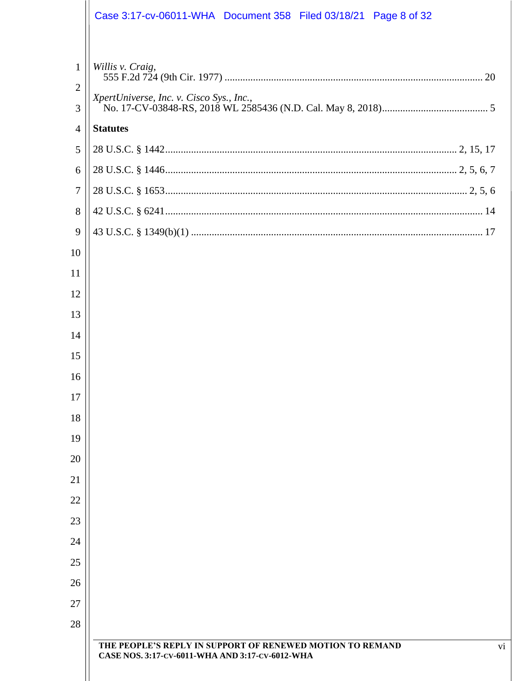|                                     | Case 3:17-cv-06011-WHA Document 358 Filed 03/18/21 Page 8 of 32 |
|-------------------------------------|-----------------------------------------------------------------|
| $\mathbf{1}$<br>$\overline{2}$<br>3 | Willis v. Craig,<br>XpertUniverse, Inc. v. Cisco Sys., Inc.,    |
| 4                                   | <b>Statutes</b>                                                 |
| 5                                   |                                                                 |
| 6                                   |                                                                 |
| $\tau$                              |                                                                 |
| 8                                   |                                                                 |
| 9                                   |                                                                 |
| 10                                  |                                                                 |
| 11                                  |                                                                 |
| 12                                  |                                                                 |
| 13                                  |                                                                 |
| 14                                  |                                                                 |
| 15                                  |                                                                 |
| 16                                  |                                                                 |
| 17                                  |                                                                 |
| 18                                  |                                                                 |
| 19                                  |                                                                 |
| 20                                  |                                                                 |
| 21                                  |                                                                 |
| 22                                  |                                                                 |
| 23                                  |                                                                 |
| 24                                  |                                                                 |
| 25                                  |                                                                 |
| 26<br>27                            |                                                                 |
| 28                                  |                                                                 |
|                                     | THE PEOPLE'S REPLY IN SUPPORT OF RENEWED MOTION TO REMAND<br>vi |
|                                     | CASE NOS. 3:17-CV-6011-WHA AND 3:17-CV-6012-WHA                 |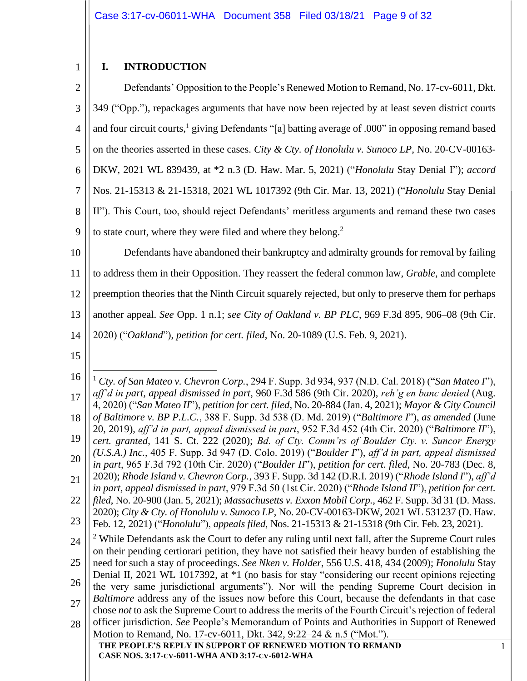# <span id="page-8-1"></span><span id="page-8-0"></span>**I. INTRODUCTION**

| $\mathbf{2}$                                                               | Defendants' Opposition to the People's Renewed Motion to Remand, No. 17-cv-6011, Dkt.                                                                                                                                                                                                                                                                                                                                                                                                                                                                                                                                                                                                                                                                                                                                                                                                                                                                                                                                                                                                                                                                                                                                                                                                                                                                                                                                                                                                                                                                                                                                                                                                                                                                                                                                                                                                                                                                                                                                                                                                                                                                                                                    |   |
|----------------------------------------------------------------------------|----------------------------------------------------------------------------------------------------------------------------------------------------------------------------------------------------------------------------------------------------------------------------------------------------------------------------------------------------------------------------------------------------------------------------------------------------------------------------------------------------------------------------------------------------------------------------------------------------------------------------------------------------------------------------------------------------------------------------------------------------------------------------------------------------------------------------------------------------------------------------------------------------------------------------------------------------------------------------------------------------------------------------------------------------------------------------------------------------------------------------------------------------------------------------------------------------------------------------------------------------------------------------------------------------------------------------------------------------------------------------------------------------------------------------------------------------------------------------------------------------------------------------------------------------------------------------------------------------------------------------------------------------------------------------------------------------------------------------------------------------------------------------------------------------------------------------------------------------------------------------------------------------------------------------------------------------------------------------------------------------------------------------------------------------------------------------------------------------------------------------------------------------------------------------------------------------------|---|
| 3                                                                          | 349 ("Opp."), repackages arguments that have now been rejected by at least seven district courts                                                                                                                                                                                                                                                                                                                                                                                                                                                                                                                                                                                                                                                                                                                                                                                                                                                                                                                                                                                                                                                                                                                                                                                                                                                                                                                                                                                                                                                                                                                                                                                                                                                                                                                                                                                                                                                                                                                                                                                                                                                                                                         |   |
| $\overline{4}$                                                             | and four circuit courts, <sup>1</sup> giving Defendants "[a] batting average of .000" in opposing remand based                                                                                                                                                                                                                                                                                                                                                                                                                                                                                                                                                                                                                                                                                                                                                                                                                                                                                                                                                                                                                                                                                                                                                                                                                                                                                                                                                                                                                                                                                                                                                                                                                                                                                                                                                                                                                                                                                                                                                                                                                                                                                           |   |
| 5                                                                          | on the theories asserted in these cases. City & Cty. of Honolulu v. Sunoco LP, No. 20-CV-00163-                                                                                                                                                                                                                                                                                                                                                                                                                                                                                                                                                                                                                                                                                                                                                                                                                                                                                                                                                                                                                                                                                                                                                                                                                                                                                                                                                                                                                                                                                                                                                                                                                                                                                                                                                                                                                                                                                                                                                                                                                                                                                                          |   |
| 6                                                                          | DKW, 2021 WL 839439, at *2 n.3 (D. Haw. Mar. 5, 2021) ("Honolulu Stay Denial I"); accord                                                                                                                                                                                                                                                                                                                                                                                                                                                                                                                                                                                                                                                                                                                                                                                                                                                                                                                                                                                                                                                                                                                                                                                                                                                                                                                                                                                                                                                                                                                                                                                                                                                                                                                                                                                                                                                                                                                                                                                                                                                                                                                 |   |
| 7                                                                          | Nos. 21-15313 & 21-15318, 2021 WL 1017392 (9th Cir. Mar. 13, 2021) ("Honolulu Stay Denial                                                                                                                                                                                                                                                                                                                                                                                                                                                                                                                                                                                                                                                                                                                                                                                                                                                                                                                                                                                                                                                                                                                                                                                                                                                                                                                                                                                                                                                                                                                                                                                                                                                                                                                                                                                                                                                                                                                                                                                                                                                                                                                |   |
| 8                                                                          | II"). This Court, too, should reject Defendants' meritless arguments and remand these two cases                                                                                                                                                                                                                                                                                                                                                                                                                                                                                                                                                                                                                                                                                                                                                                                                                                                                                                                                                                                                                                                                                                                                                                                                                                                                                                                                                                                                                                                                                                                                                                                                                                                                                                                                                                                                                                                                                                                                                                                                                                                                                                          |   |
| 9                                                                          | to state court, where they were filed and where they belong. <sup>2</sup>                                                                                                                                                                                                                                                                                                                                                                                                                                                                                                                                                                                                                                                                                                                                                                                                                                                                                                                                                                                                                                                                                                                                                                                                                                                                                                                                                                                                                                                                                                                                                                                                                                                                                                                                                                                                                                                                                                                                                                                                                                                                                                                                |   |
| 10                                                                         | Defendants have abandoned their bankruptcy and admiralty grounds for removal by failing                                                                                                                                                                                                                                                                                                                                                                                                                                                                                                                                                                                                                                                                                                                                                                                                                                                                                                                                                                                                                                                                                                                                                                                                                                                                                                                                                                                                                                                                                                                                                                                                                                                                                                                                                                                                                                                                                                                                                                                                                                                                                                                  |   |
| 11                                                                         | to address them in their Opposition. They reassert the federal common law, <i>Grable</i> , and complete                                                                                                                                                                                                                                                                                                                                                                                                                                                                                                                                                                                                                                                                                                                                                                                                                                                                                                                                                                                                                                                                                                                                                                                                                                                                                                                                                                                                                                                                                                                                                                                                                                                                                                                                                                                                                                                                                                                                                                                                                                                                                                  |   |
| 12                                                                         | preemption theories that the Ninth Circuit squarely rejected, but only to preserve them for perhaps                                                                                                                                                                                                                                                                                                                                                                                                                                                                                                                                                                                                                                                                                                                                                                                                                                                                                                                                                                                                                                                                                                                                                                                                                                                                                                                                                                                                                                                                                                                                                                                                                                                                                                                                                                                                                                                                                                                                                                                                                                                                                                      |   |
| 13                                                                         | another appeal. See Opp. 1 n.1; see City of Oakland v. BP PLC, 969 F.3d 895, 906-08 (9th Cir.                                                                                                                                                                                                                                                                                                                                                                                                                                                                                                                                                                                                                                                                                                                                                                                                                                                                                                                                                                                                                                                                                                                                                                                                                                                                                                                                                                                                                                                                                                                                                                                                                                                                                                                                                                                                                                                                                                                                                                                                                                                                                                            |   |
| 14                                                                         | 2020) ("Oakland"), petition for cert. filed, No. 20-1089 (U.S. Feb. 9, 2021).                                                                                                                                                                                                                                                                                                                                                                                                                                                                                                                                                                                                                                                                                                                                                                                                                                                                                                                                                                                                                                                                                                                                                                                                                                                                                                                                                                                                                                                                                                                                                                                                                                                                                                                                                                                                                                                                                                                                                                                                                                                                                                                            |   |
| 15                                                                         |                                                                                                                                                                                                                                                                                                                                                                                                                                                                                                                                                                                                                                                                                                                                                                                                                                                                                                                                                                                                                                                                                                                                                                                                                                                                                                                                                                                                                                                                                                                                                                                                                                                                                                                                                                                                                                                                                                                                                                                                                                                                                                                                                                                                          |   |
| 16<br>17<br>18<br>19<br>20<br>21<br>22<br>23<br>24<br>25<br>26<br>27<br>28 | <sup>1</sup> Cty. of San Mateo v. Chevron Corp., 294 F. Supp. 3d 934, 937 (N.D. Cal. 2018) ("San Mateo I"),<br>aff'd in part, appeal dismissed in part, 960 F.3d 586 (9th Cir. 2020), reh'g en banc denied (Aug.<br>4, 2020) ("San Mateo II"), petition for cert. filed, No. 20-884 (Jan. 4, 2021); Mayor & City Council<br>of Baltimore v. BP P.L.C., 388 F. Supp. 3d 538 (D. Md. 2019) ("Baltimore I"), as amended (June<br>20, 2019), aff'd in part, appeal dismissed in part, 952 F.3d 452 (4th Cir. 2020) ("Baltimore II"),<br>cert. granted, 141 S. Ct. 222 (2020); Bd. of Cty. Comm'rs of Boulder Cty. v. Suncor Energy<br>(U.S.A.) Inc., 405 F. Supp. 3d 947 (D. Colo. 2019) ("Boulder I"), aff'd in part, appeal dismissed<br>in part, 965 F.3d 792 (10th Cir. 2020) ("Boulder II"), petition for cert. filed, No. 20-783 (Dec. 8,<br>2020); Rhode Island v. Chevron Corp., 393 F. Supp. 3d 142 (D.R.I. 2019) ("Rhode Island I"), aff'd<br>in part, appeal dismissed in part, 979 F.3d 50 (1st Cir. 2020) ("Rhode Island II"), petition for cert.<br>filed, No. 20-900 (Jan. 5, 2021); Massachusetts v. Exxon Mobil Corp., 462 F. Supp. 3d 31 (D. Mass.<br>2020); City & Cty. of Honolulu v. Sunoco LP, No. 20-CV-00163-DKW, 2021 WL 531237 (D. Haw.<br>Feb. 12, 2021) ("Honolulu"), appeals filed, Nos. 21-15313 & 21-15318 (9th Cir. Feb. 23, 2021).<br><sup>2</sup> While Defendants ask the Court to defer any ruling until next fall, after the Supreme Court rules<br>on their pending certiorari petition, they have not satisfied their heavy burden of establishing the<br>need for such a stay of proceedings. See Nken v. Holder, 556 U.S. 418, 434 (2009); Honolulu Stay<br>Denial II, 2021 WL 1017392, at *1 (no basis for stay "considering our recent opinions rejecting<br>the very same jurisdictional arguments"). Nor will the pending Supreme Court decision in<br>Baltimore address any of the issues now before this Court, because the defendants in that case<br>chose not to ask the Supreme Court to address the merits of the Fourth Circuit's rejection of federal<br>officer jurisdiction. See People's Memorandum of Points and Authorities in Support of Renewed |   |
|                                                                            | Motion to Remand, No. 17-cv-6011, Dkt. 342, 9:22–24 & n.5 ("Mot.").<br>THE PEOPLE'S REPLY IN SUPPORT OF RENEWED MOTION TO REMAND                                                                                                                                                                                                                                                                                                                                                                                                                                                                                                                                                                                                                                                                                                                                                                                                                                                                                                                                                                                                                                                                                                                                                                                                                                                                                                                                                                                                                                                                                                                                                                                                                                                                                                                                                                                                                                                                                                                                                                                                                                                                         | 1 |
|                                                                            | CASE NOS. 3:17-CV-6011-WHA AND 3:17-CV-6012-WHA                                                                                                                                                                                                                                                                                                                                                                                                                                                                                                                                                                                                                                                                                                                                                                                                                                                                                                                                                                                                                                                                                                                                                                                                                                                                                                                                                                                                                                                                                                                                                                                                                                                                                                                                                                                                                                                                                                                                                                                                                                                                                                                                                          |   |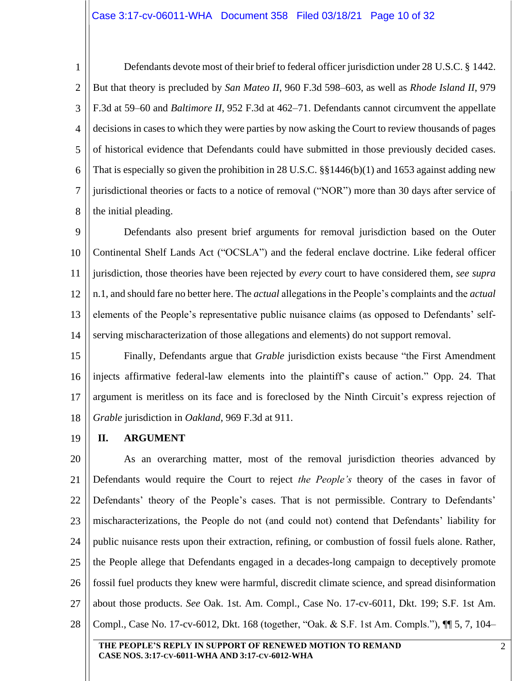1 2 3 4 5 6 7 8 Defendants devote most of their brief to federal officer jurisdiction under 28 U.S.C. § 1442. But that theory is precluded by *San Mateo II*, 960 F.3d 598–603, as well as *Rhode Island II*, 979 F.3d at 59–60 and *Baltimore II*, 952 F.3d at 462–71. Defendants cannot circumvent the appellate decisions in cases to which they were parties by now asking the Court to review thousands of pages of historical evidence that Defendants could have submitted in those previously decided cases. That is especially so given the prohibition in 28 U.S.C. §§1446(b)(1) and 1653 against adding new jurisdictional theories or facts to a notice of removal ("NOR") more than 30 days after service of the initial pleading.

9 10 11 12 13 14 Defendants also present brief arguments for removal jurisdiction based on the Outer Continental Shelf Lands Act ("OCSLA") and the federal enclave doctrine. Like federal officer jurisdiction, those theories have been rejected by *every* court to have considered them, *see supra* n[.1,](#page-8-1) and should fare no better here. The *actual* allegations in the People's complaints and the *actual*  elements of the People's representative public nuisance claims (as opposed to Defendants' selfserving mischaracterization of those allegations and elements) do not support removal.

15 16 17 18 Finally, Defendants argue that *Grable* jurisdiction exists because "the First Amendment injects affirmative federal-law elements into the plaintiff's cause of action." Opp. 24. That argument is meritless on its face and is foreclosed by the Ninth Circuit's express rejection of *Grable* jurisdiction in *Oakland*, 969 F.3d at 911.

<span id="page-9-0"></span>19 **II. ARGUMENT**

20 21 22 23 24 25 26 27 28 As an overarching matter, most of the removal jurisdiction theories advanced by Defendants would require the Court to reject *the People's* theory of the cases in favor of Defendants' theory of the People's cases. That is not permissible. Contrary to Defendants' mischaracterizations, the People do not (and could not) contend that Defendants' liability for public nuisance rests upon their extraction, refining, or combustion of fossil fuels alone. Rather, the People allege that Defendants engaged in a decades-long campaign to deceptively promote fossil fuel products they knew were harmful, discredit climate science, and spread disinformation about those products. *See* Oak. 1st. Am. Compl., Case No. 17-cv-6011, Dkt. 199; S.F. 1st Am. Compl., Case No. 17-cv-6012, Dkt. 168 (together, "Oak. & S.F. 1st Am. Compls."), ¶¶ 5, 7, 104–

**THE PEOPLE'S REPLY IN SUPPORT OF RENEWED MOTION TO REMAND CASE NOS. 3:17-CV-6011-WHA AND 3:17-CV-6012-WHA**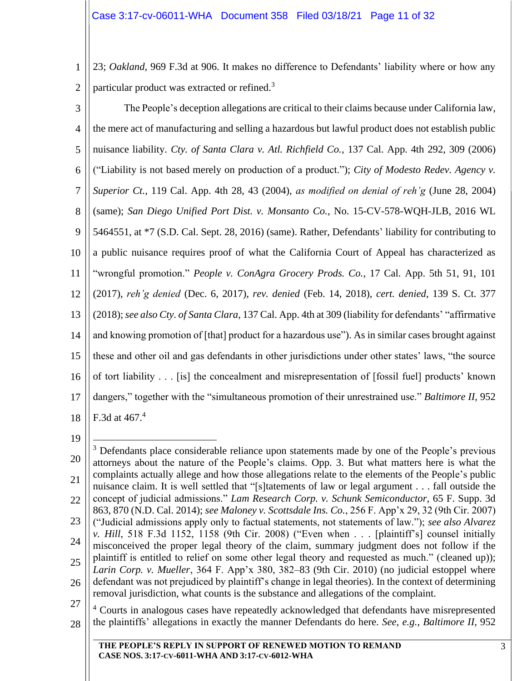1 2 23; *Oakland*, 969 F.3d at 906. It makes no difference to Defendants' liability where or how any particular product was extracted or refined.<sup>3</sup>

3 4 5 6 7 8 9 10 11 12 13 14 15 16 17 18 The People's deception allegations are critical to their claims because under California law, the mere act of manufacturing and selling a hazardous but lawful product does not establish public nuisance liability. *Cty. of Santa Clara v. Atl. Richfield Co.*, 137 Cal. App. 4th 292, 309 (2006) ("Liability is not based merely on production of a product."); *City of Modesto Redev. Agency v. Superior Ct.*, 119 Cal. App. 4th 28, 43 (2004), *as modified on denial of reh'g* (June 28, 2004) (same); *San Diego Unified Port Dist. v. Monsanto Co.*, No. 15-CV-578-WQH-JLB, 2016 WL 5464551, at \*7 (S.D. Cal. Sept. 28, 2016) (same). Rather, Defendants' liability for contributing to a public nuisance requires proof of what the California Court of Appeal has characterized as "wrongful promotion." *People v. ConAgra Grocery Prods. Co.*, 17 Cal. App. 5th 51, 91, 101 (2017), *reh'g denied* (Dec. 6, 2017), *rev. denied* (Feb. 14, 2018), *cert. denied*, 139 S. Ct. 377 (2018); *see also Cty. of Santa Clara*, 137 Cal. App. 4th at 309 (liability for defendants' "affirmative and knowing promotion of [that] product for a hazardous use"). As in similar cases brought against these and other oil and gas defendants in other jurisdictions under other states' laws, "the source of tort liability . . . [is] the concealment and misrepresentation of [fossil fuel] products' known dangers," together with the "simultaneous promotion of their unrestrained use." *Baltimore II*, 952 F.3d at  $467.<sup>4</sup>$ 

19

28 <sup>4</sup> Courts in analogous cases have repeatedly acknowledged that defendants have misrepresented the plaintiffs' allegations in exactly the manner Defendants do here. *See, e.g.*, *Baltimore II*, 952

<sup>20</sup> 21 22 23 24 25 26 27  $3$  Defendants place considerable reliance upon statements made by one of the People's previous attorneys about the nature of the People's claims. Opp. 3. But what matters here is what the complaints actually allege and how those allegations relate to the elements of the People's public nuisance claim. It is well settled that "[s]tatements of law or legal argument . . . fall outside the concept of judicial admissions." *Lam Research Corp. v. Schunk Semiconductor*, 65 F. Supp. 3d 863, 870 (N.D. Cal. 2014); *see Maloney v. Scottsdale Ins. Co.*, 256 F. App'x 29, 32 (9th Cir. 2007) ("Judicial admissions apply only to factual statements, not statements of law."); *see also Alvarez v. Hill*, 518 F.3d 1152, 1158 (9th Cir. 2008) ("Even when . . . [plaintiff's] counsel initially misconceived the proper legal theory of the claim, summary judgment does not follow if the plaintiff is entitled to relief on some other legal theory and requested as much." (cleaned up)); *Larin Corp. v. Mueller*, 364 F. App'x 380, 382–83 (9th Cir. 2010) (no judicial estoppel where defendant was not prejudiced by plaintiff's change in legal theories). In the context of determining removal jurisdiction, what counts is the substance and allegations of the complaint.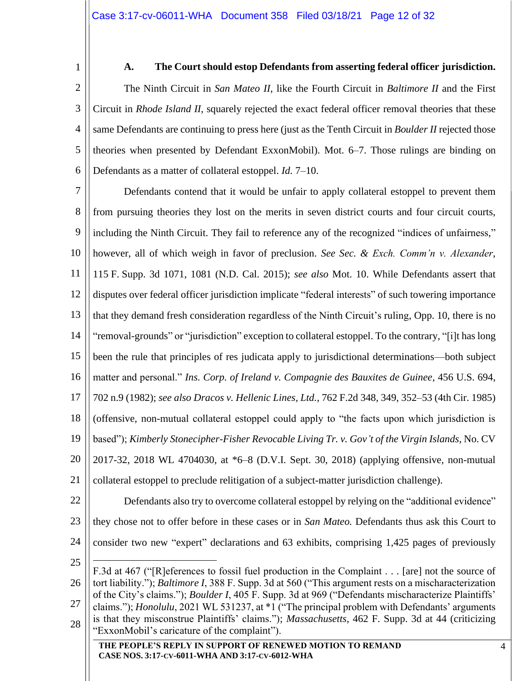#### **A. The Court should estop Defendants from asserting federal officer jurisdiction.**

<span id="page-11-0"></span>3 4 5 6 The Ninth Circuit in *San Mateo II*, like the Fourth Circuit in *Baltimore II* and the First Circuit in *Rhode Island II*, squarely rejected the exact federal officer removal theories that these same Defendants are continuing to press here (just as the Tenth Circuit in *Boulder II* rejected those theories when presented by Defendant ExxonMobil). Mot. 6–7. Those rulings are binding on Defendants as a matter of collateral estoppel. *Id.* 7–10.

7 8 9 10 11 12 13 14 15 16 17 18 19 20 21 Defendants contend that it would be unfair to apply collateral estoppel to prevent them from pursuing theories they lost on the merits in seven district courts and four circuit courts, including the Ninth Circuit. They fail to reference any of the recognized "indices of unfairness," however, all of which weigh in favor of preclusion. *See Sec. & Exch. Comm'n v. Alexander*, 115 F. Supp. 3d 1071, 1081 (N.D. Cal. 2015); *see also* Mot. 10. While Defendants assert that disputes over federal officer jurisdiction implicate "federal interests" of such towering importance that they demand fresh consideration regardless of the Ninth Circuit's ruling, Opp. 10, there is no "removal-grounds" or "jurisdiction" exception to collateral estoppel. To the contrary, "[i]t has long been the rule that principles of res judicata apply to jurisdictional determinations—both subject matter and personal." *Ins. Corp. of Ireland v. Compagnie des Bauxites de Guinee*, 456 U.S. 694, 702 n.9 (1982); *see also Dracos v. Hellenic Lines, Ltd.*, 762 F.2d 348, 349, 352–53 (4th Cir. 1985) (offensive, non-mutual collateral estoppel could apply to "the facts upon which jurisdiction is based"); *Kimberly Stonecipher-Fisher Revocable Living Tr. v. Gov't of the Virgin Islands*, No. CV 2017-32, 2018 WL 4704030, at \*6–8 (D.V.I. Sept. 30, 2018) (applying offensive, non-mutual collateral estoppel to preclude relitigation of a subject-matter jurisdiction challenge).

- 22 23 24 Defendants also try to overcome collateral estoppel by relying on the "additional evidence" they chose not to offer before in these cases or in *San Mateo.* Defendants thus ask this Court to consider two new "expert" declarations and 63 exhibits, comprising 1,425 pages of previously
- 25

| F.3d at 467 ("[R] eferences to fossil fuel production in the Complaint [are] not the source of        |
|-------------------------------------------------------------------------------------------------------|
| tort liability."); Baltimore I, 388 F. Supp. 3d at 560 ("This argument rests on a mischaracterization |

26 27 28 "); *Baltimore I*, 388 F. Supp. 3d at 560 ("This argument rests on a mischaracterization of the City's claims."); *Boulder I*, 405 F. Supp. 3d at 969 ("Defendants mischaracterize Plaintiffs' claims."); *Honolulu*, 2021 WL 531237, at \*1 ("The principal problem with Defendants' arguments is that they misconstrue Plaintiffs' claims."); *Massachusetts*, 462 F. Supp. 3d at 44 (criticizing "ExxonMobil's caricature of the complaint").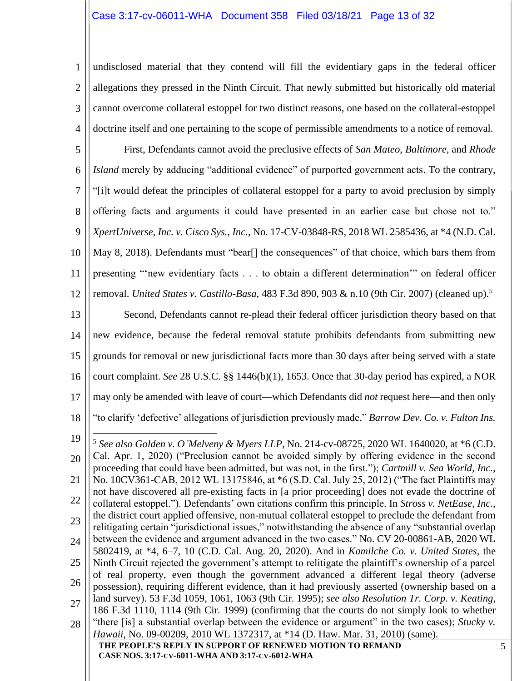#### Case 3:17-cv-06011-WHA Document 358 Filed 03/18/21 Page 13 of 32

1 2 3 4 undisclosed material that they contend will fill the evidentiary gaps in the federal officer allegations they pressed in the Ninth Circuit. That newly submitted but historically old material cannot overcome collateral estoppel for two distinct reasons, one based on the collateral-estoppel doctrine itself and one pertaining to the scope of permissible amendments to a notice of removal.

5 6 7 8 9 10 11 First, Defendants cannot avoid the preclusive effects of *San Mateo*, *Baltimore*, and *Rhode Island* merely by adducing "additional evidence" of purported government acts. To the contrary, "[i]t would defeat the principles of collateral estoppel for a party to avoid preclusion by simply offering facts and arguments it could have presented in an earlier case but chose not to." *XpertUniverse, Inc. v. Cisco Sys., Inc.*, No. 17-CV-03848-RS, 2018 WL 2585436, at \*4 (N.D. Cal. May 8, 2018). Defendants must "bear<sup>[]</sup> the consequences" of that choice, which bars them from presenting "'new evidentiary facts . . . to obtain a different determination'" on federal officer

12 removal. *United States v. Castillo-Basa*, 483 F.3d 890, 903 & n.10 (9th Cir. 2007) (cleaned up).<sup>5</sup>

13 14 15 16 17 Second, Defendants cannot re-plead their federal officer jurisdiction theory based on that new evidence, because the federal removal statute prohibits defendants from submitting new grounds for removal or new jurisdictional facts more than 30 days after being served with a state court complaint. *See* 28 U.S.C. §§ 1446(b)(1), 1653. Once that 30-day period has expired, a NOR may only be amended with leave of court—which Defendants did *not* request here—and then only

- 18 "to clarify 'defective' allegations of jurisdiction previously made." *Barrow Dev. Co. v. Fulton Ins.* 
	- 5 *See also Golden v. O'Melveny & Myers LLP*, No. 214-cv-08725, 2020 WL 1640020, at \*6 (C.D. Cal. Apr. 1, 2020) ("Preclusion cannot be avoided simply by offering evidence in the second proceeding that could have been admitted, but was not, in the first."); *Cartmill v. Sea World, Inc.*, No. 10CV361-CAB, 2012 WL 13175846, at \*6 (S.D. Cal. July 25, 2012) ("The fact Plaintiffs may not have discovered all pre-existing facts in [a prior proceeding] does not evade the doctrine of collateral estoppel."). Defendants' own citations confirm this principle. In *Stross v. NetEase, Inc.*, the district court applied offensive, non-mutual collateral estoppel to preclude the defendant from relitigating certain "jurisdictional issues," notwithstanding the absence of any "substantial overlap between the evidence and argument advanced in the two cases." No. CV 20-00861-AB, 2020 WL 5802419, at \*4, 6–7, 10 (C.D. Cal. Aug. 20, 2020). And in *Kamilche Co. v. United States*, the Ninth Circuit rejected the government's attempt to relitigate the plaintiff's ownership of a parcel of real property, even though the government advanced a different legal theory (adverse possession), requiring different evidence, than it had previously asserted (ownership based on a land survey). 53 F.3d 1059, 1061, 1063 (9th Cir. 1995); *see also Resolution Tr. Corp. v. Keating*, 186 F.3d 1110, 1114 (9th Cir. 1999) (confirming that the courts do not simply look to whether "there [is] a substantial overlap between the evidence or argument" in the two cases); *Stucky v.*

19

20

21

22

23

24

25

26

**THE PEOPLE'S REPLY IN SUPPORT OF RENEWED MOTION TO REMAND CASE NOS. 3:17-CV-6011-WHA AND 3:17-CV-6012-WHA** 28 *Hawaii*, No. 09-00209, 2010 WL 1372317, at \*14 (D. Haw. Mar. 31, 2010) (same).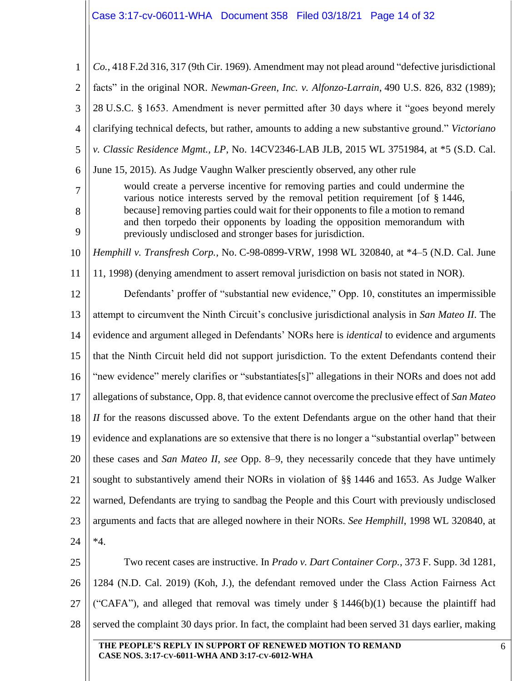# $\biggl\|\right.$  Case 3:17-cv-06011-WHA  $\,$  Document 358  $\,$  Filed 03/18/21  $\,$  Page 14 of 32  $\,$

| $*4.$<br>Two recent cases are instructive. In <i>Prado v. Dart Container Corp.</i> , 373 F. Supp. 3d 1281,<br>1284 (N.D. Cal. 2019) (Koh, J.), the defendant removed under the Class Action Fairness Act                                                                                                               |                                                                                |  |  |
|------------------------------------------------------------------------------------------------------------------------------------------------------------------------------------------------------------------------------------------------------------------------------------------------------------------------|--------------------------------------------------------------------------------|--|--|
|                                                                                                                                                                                                                                                                                                                        |                                                                                |  |  |
|                                                                                                                                                                                                                                                                                                                        |                                                                                |  |  |
|                                                                                                                                                                                                                                                                                                                        |                                                                                |  |  |
| arguments and facts that are alleged nowhere in their NORs. See Hemphill, 1998 WL 320840, at                                                                                                                                                                                                                           |                                                                                |  |  |
| warned, Defendants are trying to sandbag the People and this Court with previously undisclosed                                                                                                                                                                                                                         |                                                                                |  |  |
| sought to substantively amend their NORs in violation of §§ 1446 and 1653. As Judge Walker                                                                                                                                                                                                                             |                                                                                |  |  |
| these cases and <i>San Mateo II, see</i> Opp. 8–9, they necessarily concede that they have untimely                                                                                                                                                                                                                    |                                                                                |  |  |
| evidence and explanations are so extensive that there is no longer a "substantial overlap" between                                                                                                                                                                                                                     |                                                                                |  |  |
| II for the reasons discussed above. To the extent Defendants argue on the other hand that their                                                                                                                                                                                                                        |                                                                                |  |  |
| allegations of substance, Opp. 8, that evidence cannot overcome the preclusive effect of San Mateo                                                                                                                                                                                                                     |                                                                                |  |  |
| "new evidence" merely clarifies or "substantiates[s]" allegations in their NORs and does not add                                                                                                                                                                                                                       |                                                                                |  |  |
| that the Ninth Circuit held did not support jurisdiction. To the extent Defendants contend their                                                                                                                                                                                                                       |                                                                                |  |  |
| evidence and argument alleged in Defendants' NORs here is <i>identical</i> to evidence and arguments                                                                                                                                                                                                                   |                                                                                |  |  |
| attempt to circumvent the Ninth Circuit's conclusive jurisdictional analysis in San Mateo II. The                                                                                                                                                                                                                      |                                                                                |  |  |
| Defendants' proffer of "substantial new evidence," Opp. 10, constitutes an impermissible                                                                                                                                                                                                                               |                                                                                |  |  |
| 11, 1998) (denying amendment to assert removal jurisdiction on basis not stated in NOR).                                                                                                                                                                                                                               |                                                                                |  |  |
| Hemphill v. Transfresh Corp., No. C-98-0899-VRW, 1998 WL 320840, at *4–5 (N.D. Cal. June                                                                                                                                                                                                                               |                                                                                |  |  |
| various notice interests served by the removal petition requirement [of $\S$ 1446,<br>because] removing parties could wait for their opponents to file a motion to remand<br>and then torpedo their opponents by loading the opposition memorandum with<br>previously undisclosed and stronger bases for jurisdiction. |                                                                                |  |  |
| June 15, 2015). As Judge Vaughn Walker presciently observed, any other rule                                                                                                                                                                                                                                            |                                                                                |  |  |
| v. Classic Residence Mgmt., LP, No. 14CV2346-LAB JLB, 2015 WL 3751984, at *5 (S.D. Cal.                                                                                                                                                                                                                                |                                                                                |  |  |
| clarifying technical defects, but rather, amounts to adding a new substantive ground." Victoriano                                                                                                                                                                                                                      |                                                                                |  |  |
| 28 U.S.C. § 1653. Amendment is never permitted after 30 days where it "goes beyond merely                                                                                                                                                                                                                              |                                                                                |  |  |
| facts" in the original NOR. Newman-Green, Inc. v. Alfonzo-Larrain, 490 U.S. 826, 832 (1989);                                                                                                                                                                                                                           |                                                                                |  |  |
| Co., 418 F.2d 316, 317 (9th Cir. 1969). Amendment may not plead around "defective jurisdictional                                                                                                                                                                                                                       |                                                                                |  |  |
|                                                                                                                                                                                                                                                                                                                        | would create a perverse incentive for removing parties and could undermine the |  |  |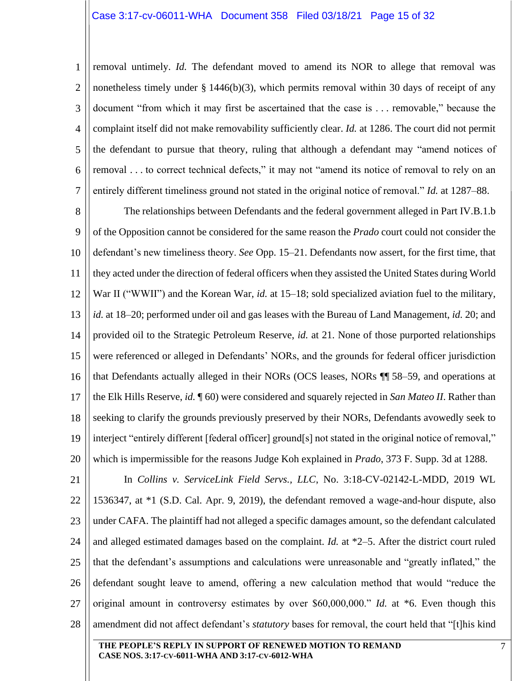1 2 3 4 5 6 7 removal untimely. *Id.* The defendant moved to amend its NOR to allege that removal was nonetheless timely under  $\S 1446(b)(3)$ , which permits removal within 30 days of receipt of any document "from which it may first be ascertained that the case is . . . removable," because the complaint itself did not make removability sufficiently clear. *Id.* at 1286. The court did not permit the defendant to pursue that theory, ruling that although a defendant may "amend notices of removal . . . to correct technical defects," it may not "amend its notice of removal to rely on an entirely different timeliness ground not stated in the original notice of removal." *Id.* at 1287–88.

8 9 10 11 12 13 14 15 16 17 18 19 20 The relationships between Defendants and the federal government alleged in Part IV.B.1.b of the Opposition cannot be considered for the same reason the *Prado* court could not consider the defendant's new timeliness theory. *See* Opp. 15–21. Defendants now assert, for the first time, that they acted under the direction of federal officers when they assisted the United States during World War II ("WWII") and the Korean War, *id.* at 15–18; sold specialized aviation fuel to the military, *id.* at 18–20; performed under oil and gas leases with the Bureau of Land Management, *id.* 20; and provided oil to the Strategic Petroleum Reserve, *id.* at 21. None of those purported relationships were referenced or alleged in Defendants' NORs, and the grounds for federal officer jurisdiction that Defendants actually alleged in their NORs (OCS leases, NORs ¶¶ 58–59, and operations at the Elk Hills Reserve, *id.* ¶ 60) were considered and squarely rejected in *San Mateo II*. Rather than seeking to clarify the grounds previously preserved by their NORs, Defendants avowedly seek to interject "entirely different [federal officer] ground[s] not stated in the original notice of removal," which is impermissible for the reasons Judge Koh explained in *Prado*, 373 F. Supp. 3d at 1288.

21 22 23 24 25 26 27 28 In *Collins v. ServiceLink Field Servs., LLC*, No. 3:18-CV-02142-L-MDD, 2019 WL 1536347, at \*1 (S.D. Cal. Apr. 9, 2019), the defendant removed a wage-and-hour dispute, also under CAFA. The plaintiff had not alleged a specific damages amount, so the defendant calculated and alleged estimated damages based on the complaint. *Id.* at \*2–5. After the district court ruled that the defendant's assumptions and calculations were unreasonable and "greatly inflated," the defendant sought leave to amend, offering a new calculation method that would "reduce the original amount in controversy estimates by over \$60,000,000." *Id.* at \*6. Even though this amendment did not affect defendant's *statutory* bases for removal, the court held that "[t]his kind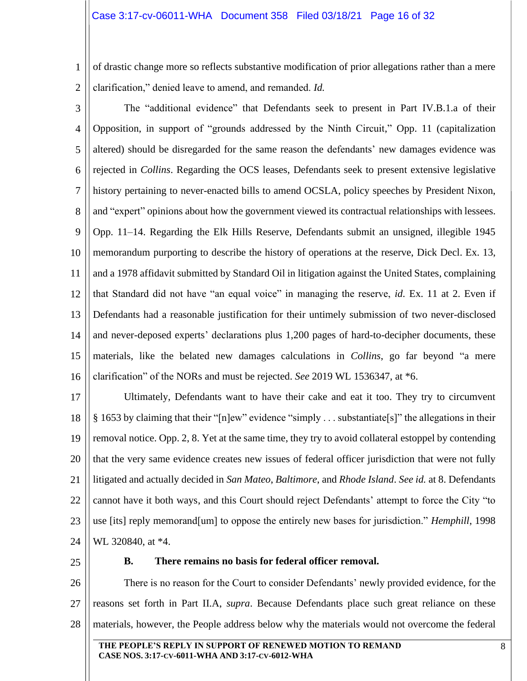1 2 of drastic change more so reflects substantive modification of prior allegations rather than a mere clarification," denied leave to amend, and remanded. *Id.*

3 4 5 6 7 8 9 10 11 12 13 14 15 16 The "additional evidence" that Defendants seek to present in Part IV.B.1.a of their Opposition, in support of "grounds addressed by the Ninth Circuit," Opp. 11 (capitalization altered) should be disregarded for the same reason the defendants' new damages evidence was rejected in *Collins*. Regarding the OCS leases, Defendants seek to present extensive legislative history pertaining to never-enacted bills to amend OCSLA, policy speeches by President Nixon, and "expert" opinions about how the government viewed its contractual relationships with lessees. Opp. 11–14. Regarding the Elk Hills Reserve, Defendants submit an unsigned, illegible 1945 memorandum purporting to describe the history of operations at the reserve, Dick Decl. Ex. 13, and a 1978 affidavit submitted by Standard Oil in litigation against the United States, complaining that Standard did not have "an equal voice" in managing the reserve, *id.* Ex. 11 at 2. Even if Defendants had a reasonable justification for their untimely submission of two never-disclosed and never-deposed experts' declarations plus 1,200 pages of hard-to-decipher documents, these materials, like the belated new damages calculations in *Collins*, go far beyond "a mere clarification" of the NORs and must be rejected. *See* 2019 WL 1536347, at \*6.

17 18 19 20 21 22 23 24 Ultimately, Defendants want to have their cake and eat it too. They try to circumvent § 1653 by claiming that their "[n]ew" evidence "simply . . . substantiate[s]" the allegations in their removal notice. Opp. 2, 8. Yet at the same time, they try to avoid collateral estoppel by contending that the very same evidence creates new issues of federal officer jurisdiction that were not fully litigated and actually decided in *San Mateo*, *Baltimore*, and *Rhode Island*. *See id.* at 8. Defendants cannot have it both ways, and this Court should reject Defendants' attempt to force the City "to use [its] reply memorand[um] to oppose the entirely new bases for jurisdiction." *Hemphill*, 1998 WL 320840, at \*4.

<span id="page-15-0"></span>25

#### **B. There remains no basis for federal officer removal.**

26 27 28 There is no reason for the Court to consider Defendants' newly provided evidence, for the reasons set forth in Part II.A, *supra*. Because Defendants place such great reliance on these materials, however, the People address below why the materials would not overcome the federal

**THE PEOPLE'S REPLY IN SUPPORT OF RENEWED MOTION TO REMAND CASE NOS. 3:17-CV-6011-WHA AND 3:17-CV-6012-WHA**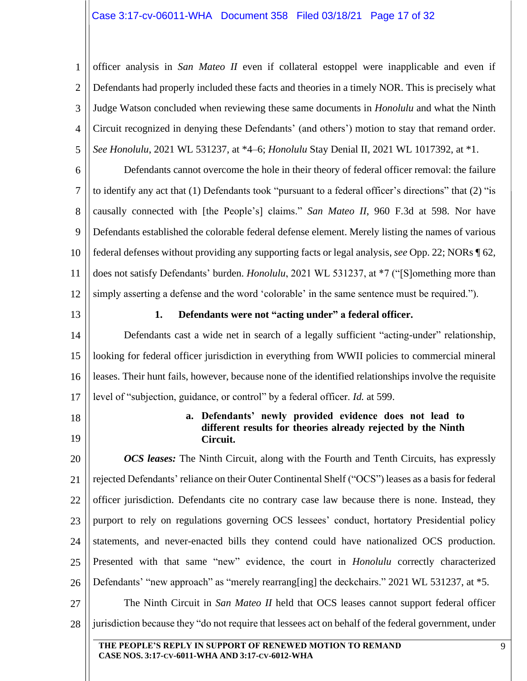# Case 3:17-cv-06011-WHA Document 358 Filed 03/18/21 Page 17 of 32

1 2 3 4 5 officer analysis in *San Mateo II* even if collateral estoppel were inapplicable and even if Defendants had properly included these facts and theories in a timely NOR. This is precisely what Judge Watson concluded when reviewing these same documents in *Honolulu* and what the Ninth Circuit recognized in denying these Defendants' (and others') motion to stay that remand order. *See Honolulu*, 2021 WL 531237, at \*4–6; *Honolulu* Stay Denial II, 2021 WL 1017392, at \*1.

6 7 8 9 10 11 12 Defendants cannot overcome the hole in their theory of federal officer removal: the failure to identify any act that (1) Defendants took "pursuant to a federal officer's directions" that (2) "is causally connected with [the People's] claims." *San Mateo II*, 960 F.3d at 598. Nor have Defendants established the colorable federal defense element. Merely listing the names of various federal defenses without providing any supporting facts or legal analysis, *see* Opp. 22; NORs ¶ 62, does not satisfy Defendants' burden. *Honolulu*, 2021 WL 531237, at \*7 ("[S]omething more than simply asserting a defense and the word 'colorable' in the same sentence must be required.").

<span id="page-16-0"></span>13

#### **1. Defendants were not "acting under" a federal officer.**

14 15 16 17 Defendants cast a wide net in search of a legally sufficient "acting-under" relationship, looking for federal officer jurisdiction in everything from WWII policies to commercial mineral leases. Their hunt fails, however, because none of the identified relationships involve the requisite level of "subjection, guidance, or control" by a federal officer. *Id.* at 599.

- <span id="page-16-1"></span>18
- 19

#### **a. Defendants' newly provided evidence does not lead to different results for theories already rejected by the Ninth Circuit.**

20 21 22 23 24 25 26 27 28 *OCS leases:* The Ninth Circuit, along with the Fourth and Tenth Circuits, has expressly rejected Defendants' reliance on their Outer Continental Shelf ("OCS") leases as a basis for federal officer jurisdiction. Defendants cite no contrary case law because there is none. Instead, they purport to rely on regulations governing OCS lessees' conduct, hortatory Presidential policy statements, and never-enacted bills they contend could have nationalized OCS production. Presented with that same "new" evidence, the court in *Honolulu* correctly characterized Defendants' "new approach" as "merely rearrang[ing] the deckchairs." 2021 WL 531237, at  $*5$ . The Ninth Circuit in *San Mateo II* held that OCS leases cannot support federal officer jurisdiction because they "do not require that lessees act on behalf of the federal government, under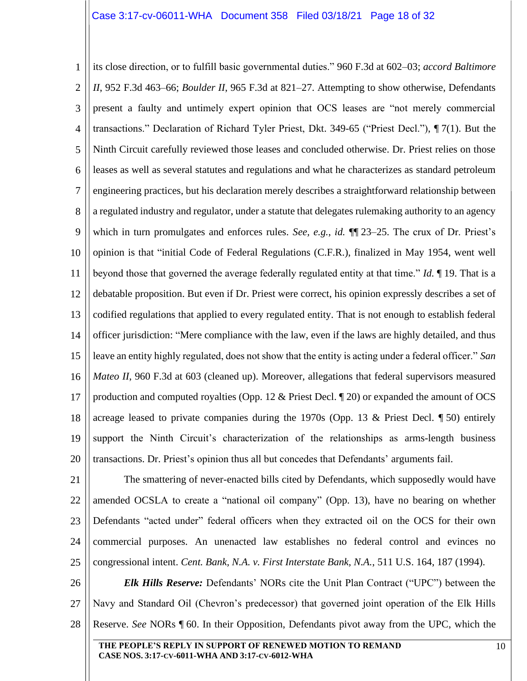1 2 3 4 5 6 7 8 9 10 11 12 13 14 15 16 17 18 19 20 its close direction, or to fulfill basic governmental duties." 960 F.3d at 602–03; *accord Baltimore II*, 952 F.3d 463–66; *Boulder II*, 965 F.3d at 821–27. Attempting to show otherwise, Defendants present a faulty and untimely expert opinion that OCS leases are "not merely commercial transactions." Declaration of Richard Tyler Priest, Dkt. 349-65 ("Priest Decl."), ¶ 7(1). But the Ninth Circuit carefully reviewed those leases and concluded otherwise. Dr. Priest relies on those leases as well as several statutes and regulations and what he characterizes as standard petroleum engineering practices, but his declaration merely describes a straightforward relationship between a regulated industry and regulator, under a statute that delegates rulemaking authority to an agency which in turn promulgates and enforces rules. *See, e.g.*, *id.* ¶¶ 23–25. The crux of Dr. Priest's opinion is that "initial Code of Federal Regulations (C.F.R.), finalized in May 1954, went well beyond those that governed the average federally regulated entity at that time." *Id.* ¶ 19. That is a debatable proposition. But even if Dr. Priest were correct, his opinion expressly describes a set of codified regulations that applied to every regulated entity. That is not enough to establish federal officer jurisdiction: "Mere compliance with the law, even if the laws are highly detailed, and thus leave an entity highly regulated, does not show that the entity is acting under a federal officer." *San Mateo II*, 960 F.3d at 603 (cleaned up). Moreover, allegations that federal supervisors measured production and computed royalties (Opp. 12 & Priest Decl. ¶ 20) or expanded the amount of OCS acreage leased to private companies during the 1970s (Opp. 13 & Priest Decl.  $\parallel$  50) entirely support the Ninth Circuit's characterization of the relationships as arms-length business transactions. Dr. Priest's opinion thus all but concedes that Defendants' arguments fail.

21 22 23 24 25 The smattering of never-enacted bills cited by Defendants, which supposedly would have amended OCSLA to create a "national oil company" (Opp. 13), have no bearing on whether Defendants "acted under" federal officers when they extracted oil on the OCS for their own commercial purposes. An unenacted law establishes no federal control and evinces no congressional intent. *Cent. Bank, N.A. v. First Interstate Bank, N.A.*, 511 U.S. 164, 187 (1994).

26 27 28 *Elk Hills Reserve:* Defendants' NORs cite the Unit Plan Contract ("UPC") between the Navy and Standard Oil (Chevron's predecessor) that governed joint operation of the Elk Hills Reserve. *See* NORs ¶ 60. In their Opposition, Defendants pivot away from the UPC, which the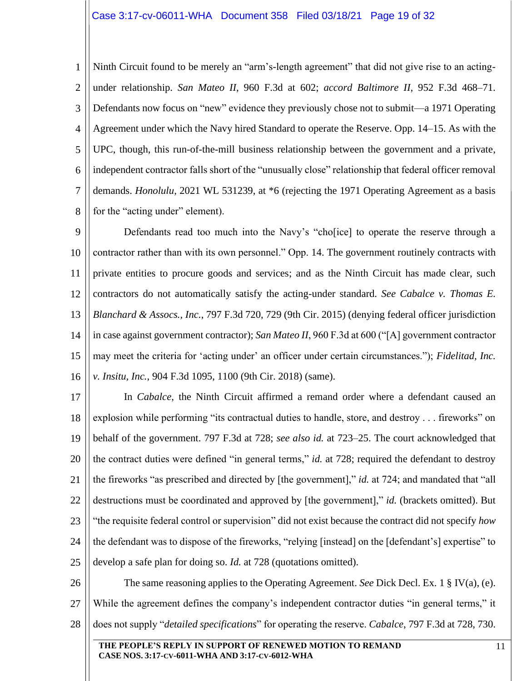#### Case 3:17-cv-06011-WHA Document 358 Filed 03/18/21 Page 19 of 32

1 2 3 4 5 6 7 8 Ninth Circuit found to be merely an "arm's-length agreement" that did not give rise to an actingunder relationship. *San Mateo II*, 960 F.3d at 602; *accord Baltimore II*, 952 F.3d 468–71. Defendants now focus on "new" evidence they previously chose not to submit—a 1971 Operating Agreement under which the Navy hired Standard to operate the Reserve. Opp. 14–15. As with the UPC, though, this run-of-the-mill business relationship between the government and a private, independent contractor falls short of the "unusually close" relationship that federal officer removal demands. *Honolulu*, 2021 WL 531239, at \*6 (rejecting the 1971 Operating Agreement as a basis for the "acting under" element).

9 10 11 12 13 14 15 16 Defendants read too much into the Navy's "cho[ice] to operate the reserve through a contractor rather than with its own personnel." Opp. 14. The government routinely contracts with private entities to procure goods and services; and as the Ninth Circuit has made clear, such contractors do not automatically satisfy the acting-under standard. *See Cabalce v. Thomas E. Blanchard & Assocs., Inc.*, 797 F.3d 720, 729 (9th Cir. 2015) (denying federal officer jurisdiction in case against government contractor); *San Mateo II*, 960 F.3d at 600 ("[A] government contractor may meet the criteria for 'acting under' an officer under certain circumstances."); *Fidelitad, Inc. v. Insitu, Inc.*, 904 F.3d 1095, 1100 (9th Cir. 2018) (same).

17 18 19 20 21 22 23 24 25 In *Cabalce*, the Ninth Circuit affirmed a remand order where a defendant caused an explosion while performing "its contractual duties to handle, store, and destroy . . . fireworks" on behalf of the government. 797 F.3d at 728; *see also id.* at 723–25. The court acknowledged that the contract duties were defined "in general terms," *id.* at 728; required the defendant to destroy the fireworks "as prescribed and directed by [the government]," *id.* at 724; and mandated that "all destructions must be coordinated and approved by [the government]," *id.* (brackets omitted). But "the requisite federal control or supervision" did not exist because the contract did not specify *how* the defendant was to dispose of the fireworks, "relying [instead] on the [defendant's] expertise" to develop a safe plan for doing so. *Id.* at 728 (quotations omitted).

26 27 28 The same reasoning applies to the Operating Agreement. *See* Dick Decl. Ex. 1 § IV(a), (e). While the agreement defines the company's independent contractor duties "in general terms," it does not supply "*detailed specifications*" for operating the reserve. *Cabalce*, 797 F.3d at 728, 730.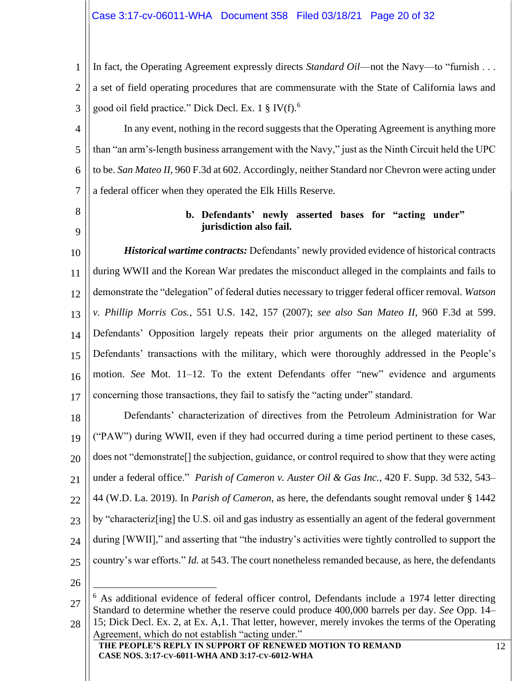1 2 3 In fact, the Operating Agreement expressly directs *Standard Oil*—not the Navy—to "furnish . . . a set of field operating procedures that are commensurate with the State of California laws and good oil field practice." Dick Decl. Ex. 1  $\S$  IV(f).<sup>6</sup>

4 5 6 7 In any event, nothing in the record suggests that the Operating Agreement is anything more than "an arm's-length business arrangement with the Navy," just as the Ninth Circuit held the UPC to be. *San Mateo II*, 960 F.3d at 602. Accordingly, neither Standard nor Chevron were acting under a federal officer when they operated the Elk Hills Reserve.

<span id="page-19-0"></span>8

9

## **b. Defendants' newly asserted bases for "acting under" jurisdiction also fail.**

10 11 12 13 14 15 16 17 *Historical wartime contracts:* Defendants' newly provided evidence of historical contracts during WWII and the Korean War predates the misconduct alleged in the complaints and fails to demonstrate the "delegation" of federal duties necessary to trigger federal officer removal. *Watson v. Phillip Morris Cos.*, 551 U.S. 142, 157 (2007); *see also San Mateo II*, 960 F.3d at 599. Defendants' Opposition largely repeats their prior arguments on the alleged materiality of Defendants' transactions with the military, which were thoroughly addressed in the People's motion. *See* Mot. 11–12. To the extent Defendants offer "new" evidence and arguments concerning those transactions, they fail to satisfy the "acting under" standard.

18 19 20 21 22 23 24 25 Defendants' characterization of directives from the Petroleum Administration for War ("PAW") during WWII, even if they had occurred during a time period pertinent to these cases, does not "demonstrate[] the subjection, guidance, or control required to show that they were acting under a federal office." *Parish of Cameron v. Auster Oil & Gas Inc.*, 420 F. Supp. 3d 532, 543– 44 (W.D. La. 2019). In *Parish of Cameron*, as here, the defendants sought removal under § 1442 by "characteriz[ing] the U.S. oil and gas industry as essentially an agent of the federal government during [WWII]," and asserting that "the industry's activities were tightly controlled to support the country's war efforts." *Id.* at 543. The court nonetheless remanded because, as here, the defendants

<sup>27</sup> 28  $6$  As additional evidence of federal officer control, Defendants include a 1974 letter directing Standard to determine whether the reserve could produce 400,000 barrels per day. *See* Opp. 14– 15; Dick Decl. Ex. 2, at Ex. A,1. That letter, however, merely invokes the terms of the Operating Agreement, which do not establish "acting under."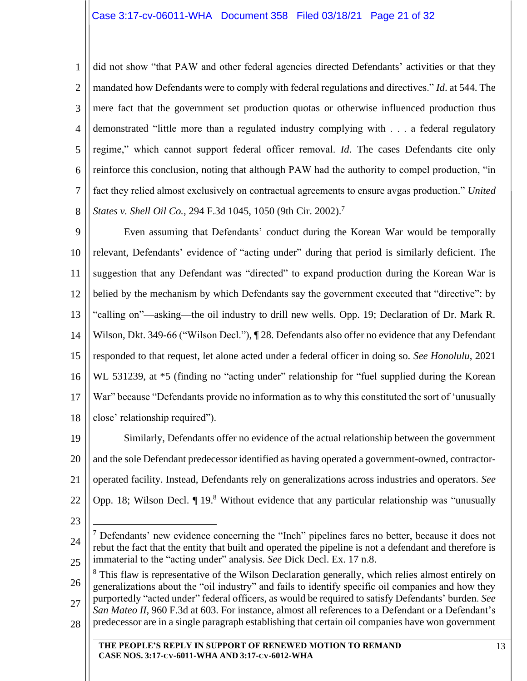1 2 3 4 5 6 7 8 did not show "that PAW and other federal agencies directed Defendants' activities or that they mandated how Defendants were to comply with federal regulations and directives." *Id*. at 544. The mere fact that the government set production quotas or otherwise influenced production thus demonstrated "little more than a regulated industry complying with . . . a federal regulatory regime," which cannot support federal officer removal. *Id*. The cases Defendants cite only reinforce this conclusion, noting that although PAW had the authority to compel production, "in fact they relied almost exclusively on contractual agreements to ensure avgas production." *United States v. Shell Oil Co., 294 F.3d 1045, 1050 (9th Cir. 2002).*<sup>7</sup>

9 10 11 12 13 14 15 16 17 18 Even assuming that Defendants' conduct during the Korean War would be temporally relevant, Defendants' evidence of "acting under" during that period is similarly deficient. The suggestion that any Defendant was "directed" to expand production during the Korean War is belied by the mechanism by which Defendants say the government executed that "directive": by "calling on"—asking—the oil industry to drill new wells. Opp. 19; Declaration of Dr. Mark R. Wilson, Dkt. 349-66 ("Wilson Decl."), ¶ 28. Defendants also offer no evidence that any Defendant responded to that request, let alone acted under a federal officer in doing so. *See Honolulu*, 2021 WL 531239, at  $*5$  (finding no "acting under" relationship for "fuel supplied during the Korean War" because "Defendants provide no information as to why this constituted the sort of 'unusually close' relationship required").

19 20 21 22 Similarly, Defendants offer no evidence of the actual relationship between the government and the sole Defendant predecessor identified as having operated a government-owned, contractoroperated facility. Instead, Defendants rely on generalizations across industries and operators. *See* Opp. 18; Wilson Decl.  $\P$  19.<sup>8</sup> Without evidence that any particular relationship was "unusually

<sup>24</sup> 25  $<sup>7</sup>$  Defendants' new evidence concerning the "Inch" pipelines fares no better, because it does not</sup> rebut the fact that the entity that built and operated the pipeline is not a defendant and therefore is immaterial to the "acting under" analysis. *See* Dick Decl. Ex. 17 n.8.

<sup>26</sup> 27 28 <sup>8</sup> This flaw is representative of the Wilson Declaration generally, which relies almost entirely on generalizations about the "oil industry" and fails to identify specific oil companies and how they purportedly "acted under" federal officers, as would be required to satisfy Defendants' burden. *See San Mateo II*, 960 F.3d at 603. For instance, almost all references to a Defendant or a Defendant's predecessor are in a single paragraph establishing that certain oil companies have won government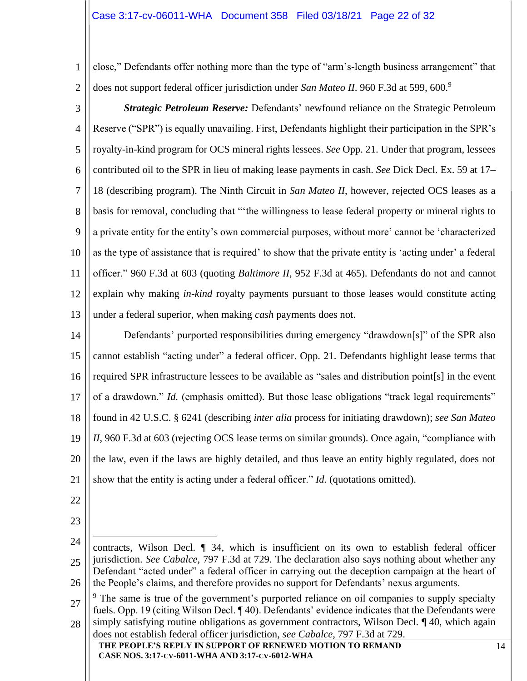#### Case 3:17-cv-06011-WHA Document 358 Filed 03/18/21 Page 22 of 32

1 2 close," Defendants offer nothing more than the type of "arm's-length business arrangement" that does not support federal officer jurisdiction under *San Mateo II*. 960 F.3d at 599, 600.<sup>9</sup>

3 4 5 6 7 8  $\overline{Q}$ 10 11 12 13 *Strategic Petroleum Reserve:* Defendants' newfound reliance on the Strategic Petroleum Reserve ("SPR") is equally unavailing. First, Defendants highlight their participation in the SPR's royalty-in-kind program for OCS mineral rights lessees. *See* Opp. 21. Under that program, lessees contributed oil to the SPR in lieu of making lease payments in cash. *See* Dick Decl. Ex. 59 at 17– 18 (describing program). The Ninth Circuit in *San Mateo II*, however, rejected OCS leases as a basis for removal, concluding that "'the willingness to lease federal property or mineral rights to a private entity for the entity's own commercial purposes, without more' cannot be 'characterized as the type of assistance that is required' to show that the private entity is 'acting under' a federal officer." 960 F.3d at 603 (quoting *Baltimore II*, 952 F.3d at 465). Defendants do not and cannot explain why making *in-kind* royalty payments pursuant to those leases would constitute acting under a federal superior, when making *cash* payments does not.

14 15 16 17 18 19 20 21 Defendants' purported responsibilities during emergency "drawdown[s]" of the SPR also cannot establish "acting under" a federal officer. Opp. 21. Defendants highlight lease terms that required SPR infrastructure lessees to be available as "sales and distribution point[s] in the event of a drawdown." *Id.* (emphasis omitted). But those lease obligations "track legal requirements" found in 42 U.S.C. § 6241 (describing *inter alia* process for initiating drawdown); *see San Mateo II*, 960 F.3d at 603 (rejecting OCS lease terms on similar grounds). Once again, "compliance with the law, even if the laws are highly detailed, and thus leave an entity highly regulated, does not show that the entity is acting under a federal officer." *Id.* (quotations omitted).

- 22
- 23

<sup>24</sup> 25 26 contracts, Wilson Decl. ¶ 34, which is insufficient on its own to establish federal officer jurisdiction. *See Cabalce*, 797 F.3d at 729. The declaration also says nothing about whether any Defendant "acted under" a federal officer in carrying out the deception campaign at the heart of the People's claims, and therefore provides no support for Defendants' nexus arguments.

<sup>27</sup> 28 <sup>9</sup> The same is true of the government's purported reliance on oil companies to supply specialty fuels. Opp. 19 (citing Wilson Decl. ¶ 40). Defendants' evidence indicates that the Defendants were simply satisfying routine obligations as government contractors, Wilson Decl. ¶ 40, which again does not establish federal officer jurisdiction, *see Cabalce*, 797 F.3d at 729.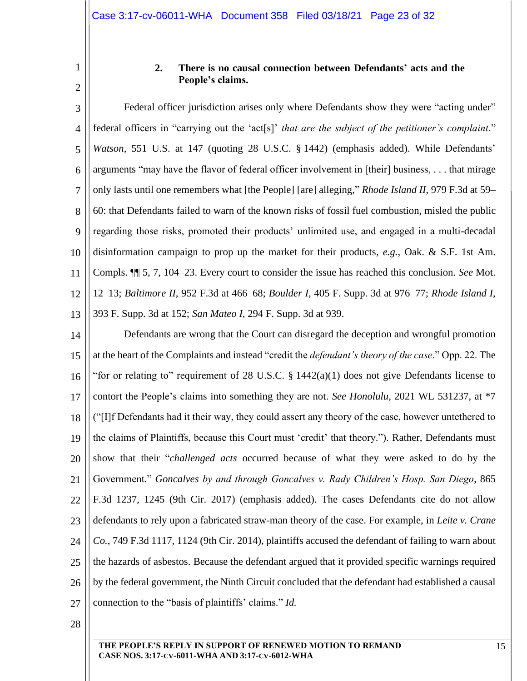#### **2. There is no causal connection between Defendants' acts and the People's claims.**

<span id="page-22-0"></span>3 4 5 6 7 8 9 10 11 12 13 Federal officer jurisdiction arises only where Defendants show they were "acting under" federal officers in "carrying out the 'act[s]' *that are the subject of the petitioner's complaint*." *Watson*, 551 U.S. at 147 (quoting 28 U.S.C. § 1442) (emphasis added). While Defendants' arguments "may have the flavor of federal officer involvement in [their] business, . . . that mirage only lasts until one remembers what [the People] [are] alleging," *Rhode Island II*, 979 F.3d at 59– 60: that Defendants failed to warn of the known risks of fossil fuel combustion, misled the public regarding those risks, promoted their products' unlimited use, and engaged in a multi-decadal disinformation campaign to prop up the market for their products, *e.g.*, Oak. & S.F. 1st Am. Compls. ¶¶ 5, 7, 104–23. Every court to consider the issue has reached this conclusion. *See* Mot. 12–13; *Baltimore II*, 952 F.3d at 466–68; *Boulder I*, 405 F. Supp. 3d at 976–77; *Rhode Island I*, 393 F. Supp. 3d at 152; *San Mateo I*, 294 F. Supp. 3d at 939.

14 15 16 17 18 19 20 21 22 23 24 25 26 27 Defendants are wrong that the Court can disregard the deception and wrongful promotion at the heart of the Complaints and instead "credit the *defendant's theory of the case*." Opp. 22. The "for or relating to" requirement of 28 U.S.C. § 1442(a)(1) does not give Defendants license to contort the People's claims into something they are not. *See Honolulu*, 2021 WL 531237, at \*7 ("[I]f Defendants had it their way, they could assert any theory of the case, however untethered to the claims of Plaintiffs, because this Court must 'credit' that theory."). Rather, Defendants must show that their "*challenged acts* occurred because of what they were asked to do by the Government." *Goncalves by and through Goncalves v. Rady Children's Hosp. San Diego*, 865 F.3d 1237, 1245 (9th Cir. 2017) (emphasis added). The cases Defendants cite do not allow defendants to rely upon a fabricated straw-man theory of the case. For example, in *Leite v. Crane Co.*, 749 F.3d 1117, 1124 (9th Cir. 2014), plaintiffs accused the defendant of failing to warn about the hazards of asbestos. Because the defendant argued that it provided specific warnings required by the federal government, the Ninth Circuit concluded that the defendant had established a causal connection to the "basis of plaintiffs' claims." *Id.*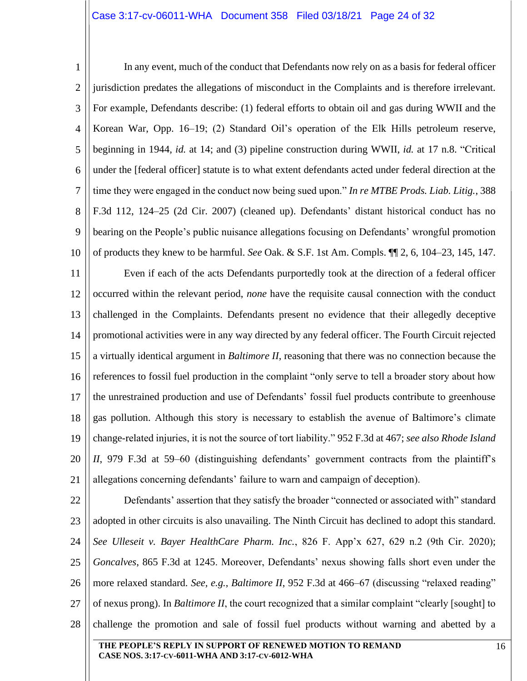#### Case 3:17-cv-06011-WHA Document 358 Filed 03/18/21 Page 24 of 32

1 2 3 4 5 6 7 8 9 10 11 12 13 14 15 16 17 18 19 20 21 In any event, much of the conduct that Defendants now rely on as a basis for federal officer jurisdiction predates the allegations of misconduct in the Complaints and is therefore irrelevant. For example, Defendants describe: (1) federal efforts to obtain oil and gas during WWII and the Korean War, Opp. 16–19; (2) Standard Oil's operation of the Elk Hills petroleum reserve, beginning in 1944, *id.* at 14; and (3) pipeline construction during WWII, *id.* at 17 n.8. "Critical under the [federal officer] statute is to what extent defendants acted under federal direction at the time they were engaged in the conduct now being sued upon." *In re MTBE Prods. Liab. Litig.*, 388 F.3d 112, 124–25 (2d Cir. 2007) (cleaned up). Defendants' distant historical conduct has no bearing on the People's public nuisance allegations focusing on Defendants' wrongful promotion of products they knew to be harmful. *See* Oak. & S.F. 1st Am. Compls. ¶¶ 2, 6, 104–23, 145, 147. Even if each of the acts Defendants purportedly took at the direction of a federal officer occurred within the relevant period, *none* have the requisite causal connection with the conduct challenged in the Complaints. Defendants present no evidence that their allegedly deceptive promotional activities were in any way directed by any federal officer. The Fourth Circuit rejected a virtually identical argument in *Baltimore II*, reasoning that there was no connection because the references to fossil fuel production in the complaint "only serve to tell a broader story about how the unrestrained production and use of Defendants' fossil fuel products contribute to greenhouse gas pollution. Although this story is necessary to establish the avenue of Baltimore's climate change-related injuries, it is not the source of tort liability." 952 F.3d at 467; *see also Rhode Island II*, 979 F.3d at 59–60 (distinguishing defendants' government contracts from the plaintiff's allegations concerning defendants' failure to warn and campaign of deception).

22 23 24 25 26 27 28 Defendants' assertion that they satisfy the broader "connected or associated with" standard adopted in other circuits is also unavailing. The Ninth Circuit has declined to adopt this standard. *See Ulleseit v. Bayer HealthCare Pharm. Inc.*, 826 F. App'x 627, 629 n.2 (9th Cir. 2020); *Goncalves*, 865 F.3d at 1245. Moreover, Defendants' nexus showing falls short even under the more relaxed standard. *See, e.g.*, *Baltimore II*, 952 F.3d at 466–67 (discussing "relaxed reading" of nexus prong). In *Baltimore II*, the court recognized that a similar complaint "clearly [sought] to challenge the promotion and sale of fossil fuel products without warning and abetted by a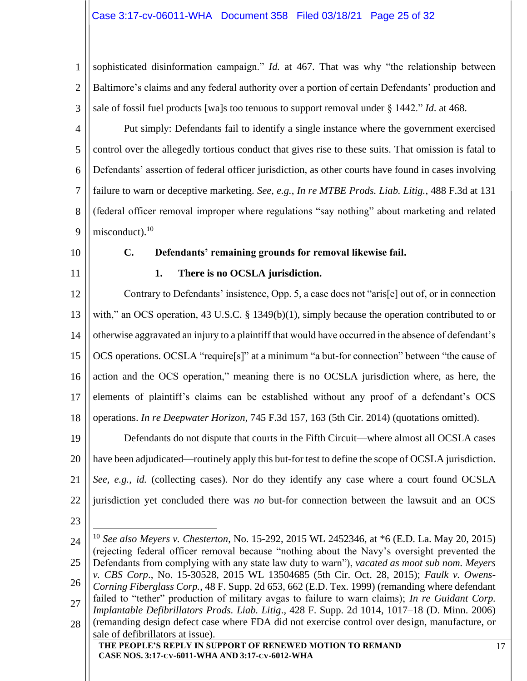1 2 3 sophisticated disinformation campaign." *Id.* at 467. That was why "the relationship between Baltimore's claims and any federal authority over a portion of certain Defendants' production and sale of fossil fuel products [wa]s too tenuous to support removal under § 1442." *Id*. at 468.

- 4 5 6 7 8  $\overline{Q}$ Put simply: Defendants fail to identify a single instance where the government exercised control over the allegedly tortious conduct that gives rise to these suits. That omission is fatal to Defendants' assertion of federal officer jurisdiction, as other courts have found in cases involving failure to warn or deceptive marketing. *See, e.g.*, *In re MTBE Prods. Liab. Litig.*, 488 F.3d at 131 (federal officer removal improper where regulations "say nothing" about marketing and related  $misconduct$ ).<sup>10</sup>
- <span id="page-24-0"></span>10
- <span id="page-24-1"></span>11

# **C. Defendants' remaining grounds for removal likewise fail.**

# **1. There is no OCSLA jurisdiction.**

12 13 14 15 16 17 18 Contrary to Defendants' insistence, Opp. 5, a case does not "aris[e] out of, or in connection with," an OCS operation, 43 U.S.C. § 1349(b)(1), simply because the operation contributed to or otherwise aggravated an injury to a plaintiff that would have occurred in the absence of defendant's OCS operations. OCSLA "require[s]" at a minimum "a but-for connection" between "the cause of action and the OCS operation," meaning there is no OCSLA jurisdiction where, as here, the elements of plaintiff's claims can be established without any proof of a defendant's OCS operations. *In re Deepwater Horizon*, 745 F.3d 157, 163 (5th Cir. 2014) (quotations omitted).

19 20 21 22 Defendants do not dispute that courts in the Fifth Circuit—where almost all OCSLA cases have been adjudicated—routinely apply this but-for test to define the scope of OCSLA jurisdiction. *See, e.g.*, *id.* (collecting cases). Nor do they identify any case where a court found OCSLA jurisdiction yet concluded there was *no* but-for connection between the lawsuit and an OCS

<sup>24</sup> 25 26 27 28 <sup>10</sup> *See also Meyers v. Chesterton*, No. 15-292, 2015 WL 2452346, at \*6 (E.D. La. May 20, 2015) (rejecting federal officer removal because "nothing about the Navy's oversight prevented the Defendants from complying with any state law duty to warn"), *vacated as moot sub nom. Meyers v. CBS Corp*., No. 15-30528, 2015 WL 13504685 (5th Cir. Oct. 28, 2015); *Faulk v. Owens-Corning Fiberglass Corp.*, 48 F. Supp. 2d 653, 662 (E.D. Tex. 1999) (remanding where defendant failed to "tether" production of military avgas to failure to warn claims); *In re Guidant Corp. Implantable Defibrillators Prods. Liab. Litig*., 428 F. Supp. 2d 1014, 1017–18 (D. Minn. 2006) (remanding design defect case where FDA did not exercise control over design, manufacture, or sale of defibrillators at issue).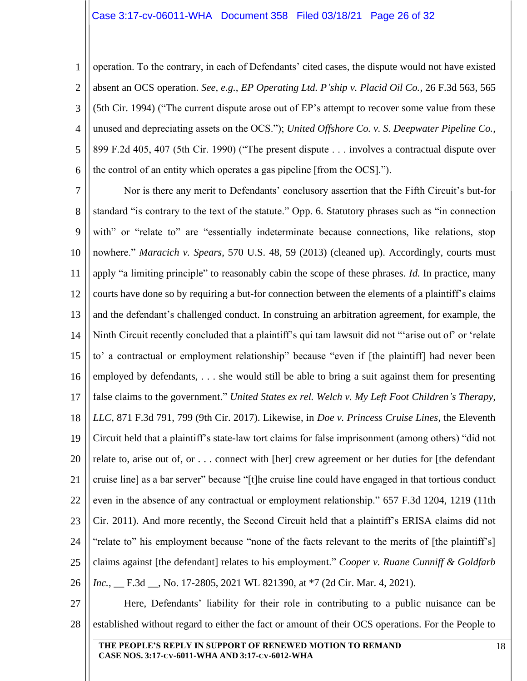#### Case 3:17-cv-06011-WHA Document 358 Filed 03/18/21 Page 26 of 32

1 2 3 4 5 6 operation. To the contrary, in each of Defendants' cited cases, the dispute would not have existed absent an OCS operation. *See, e.g.*, *EP Operating Ltd. P'ship v. Placid Oil Co.*, 26 F.3d 563, 565 (5th Cir. 1994) ("The current dispute arose out of EP's attempt to recover some value from these unused and depreciating assets on the OCS."); *United Offshore Co. v. S. Deepwater Pipeline Co.*, 899 F.2d 405, 407 (5th Cir. 1990) ("The present dispute . . . involves a contractual dispute over the control of an entity which operates a gas pipeline [from the OCS].").

7 8 9 10 11 12 13 14 15 16 17 18 19 20 21 22 23 24 25 26 Nor is there any merit to Defendants' conclusory assertion that the Fifth Circuit's but-for standard "is contrary to the text of the statute." Opp. 6. Statutory phrases such as "in connection with" or "relate to" are "essentially indeterminate because connections, like relations, stop nowhere." *Maracich v. Spears*, 570 U.S. 48, 59 (2013) (cleaned up). Accordingly, courts must apply "a limiting principle" to reasonably cabin the scope of these phrases. *Id.* In practice, many courts have done so by requiring a but-for connection between the elements of a plaintiff's claims and the defendant's challenged conduct. In construing an arbitration agreement, for example, the Ninth Circuit recently concluded that a plaintiff's qui tam lawsuit did not "'arise out of' or 'relate to' a contractual or employment relationship" because "even if [the plaintiff] had never been employed by defendants, . . . she would still be able to bring a suit against them for presenting false claims to the government." *United States ex rel. Welch v. My Left Foot Children's Therapy, LLC*, 871 F.3d 791, 799 (9th Cir. 2017). Likewise, in *Doe v. Princess Cruise Lines*, the Eleventh Circuit held that a plaintiff's state-law tort claims for false imprisonment (among others) "did not relate to, arise out of, or . . . connect with [her] crew agreement or her duties for [the defendant cruise line] as a bar server" because "[t]he cruise line could have engaged in that tortious conduct even in the absence of any contractual or employment relationship." 657 F.3d 1204, 1219 (11th Cir. 2011). And more recently, the Second Circuit held that a plaintiff's ERISA claims did not "relate to" his employment because "none of the facts relevant to the merits of [the plaintiff's] claims against [the defendant] relates to his employment." *Cooper v. Ruane Cunniff & Goldfarb Inc.*, \_\_ F.3d \_\_, No. 17-2805, 2021 WL 821390, at \*7 (2d Cir. Mar. 4, 2021).

27 28 Here, Defendants' liability for their role in contributing to a public nuisance can be established without regard to either the fact or amount of their OCS operations. For the People to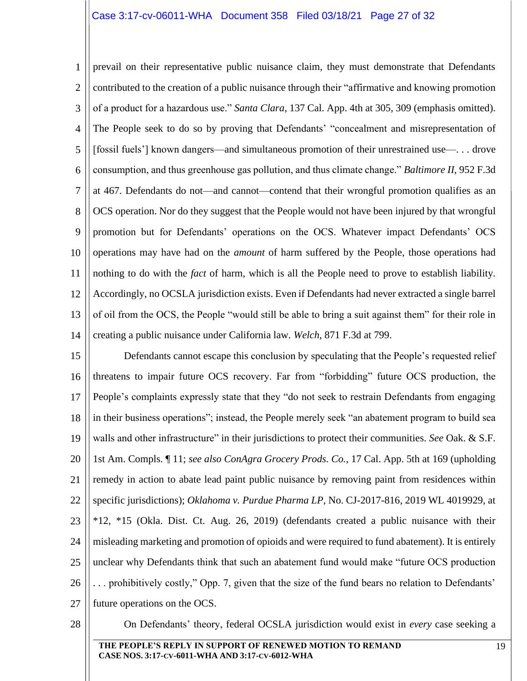1 2 3 4 5 6 7 8 9 10 11 12 13 14 prevail on their representative public nuisance claim, they must demonstrate that Defendants contributed to the creation of a public nuisance through their "affirmative and knowing promotion of a product for a hazardous use." *Santa Clara*, 137 Cal. App. 4th at 305, 309 (emphasis omitted). The People seek to do so by proving that Defendants' "concealment and misrepresentation of [fossil fuels'] known dangers—and simultaneous promotion of their unrestrained use—. . . drove consumption, and thus greenhouse gas pollution, and thus climate change." *Baltimore II*, 952 F.3d at 467. Defendants do not—and cannot—contend that their wrongful promotion qualifies as an OCS operation. Nor do they suggest that the People would not have been injured by that wrongful promotion but for Defendants' operations on the OCS. Whatever impact Defendants' OCS operations may have had on the *amount* of harm suffered by the People, those operations had nothing to do with the *fact* of harm, which is all the People need to prove to establish liability. Accordingly, no OCSLA jurisdiction exists. Even if Defendants had never extracted a single barrel of oil from the OCS, the People "would still be able to bring a suit against them" for their role in creating a public nuisance under California law. *Welch*, 871 F.3d at 799.

15 16 17 18 19 20 21 22 23 24 25 26 27 Defendants cannot escape this conclusion by speculating that the People's requested relief threatens to impair future OCS recovery. Far from "forbidding" future OCS production, the People's complaints expressly state that they "do not seek to restrain Defendants from engaging in their business operations"; instead, the People merely seek "an abatement program to build sea walls and other infrastructure" in their jurisdictions to protect their communities. *See* Oak. & S.F. 1st Am. Compls. ¶ 11; *see also ConAgra Grocery Prods. Co.*, 17 Cal. App. 5th at 169 (upholding remedy in action to abate lead paint public nuisance by removing paint from residences within specific jurisdictions); *Oklahoma v. Purdue Pharma LP*, No. CJ-2017-816, 2019 WL 4019929, at \*12, \*15 (Okla. Dist. Ct. Aug. 26, 2019) (defendants created a public nuisance with their misleading marketing and promotion of opioids and were required to fund abatement). It is entirely unclear why Defendants think that such an abatement fund would make "future OCS production . . . prohibitively costly," Opp. 7, given that the size of the fund bears no relation to Defendants' future operations on the OCS.

28

On Defendants' theory, federal OCSLA jurisdiction would exist in *every* case seeking a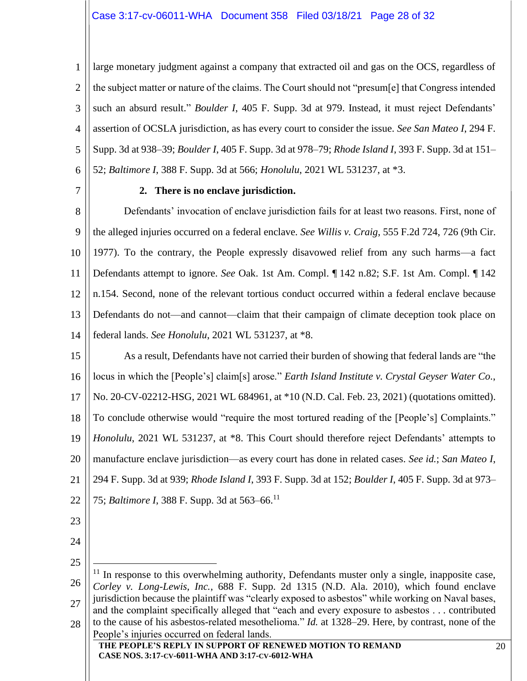#### Case 3:17-cv-06011-WHA Document 358 Filed 03/18/21 Page 28 of 32

1 2 3 4 5 6 large monetary judgment against a company that extracted oil and gas on the OCS, regardless of the subject matter or nature of the claims. The Court should not "presum[e] that Congress intended such an absurd result." *Boulder I*, 405 F. Supp. 3d at 979. Instead, it must reject Defendants' assertion of OCSLA jurisdiction, as has every court to consider the issue. *See San Mateo I*, 294 F. Supp. 3d at 938–39; *Boulder I*, 405 F. Supp. 3d at 978–79; *Rhode Island I*, 393 F. Supp. 3d at 151– 52; *Baltimore I*, 388 F. Supp. 3d at 566; *Honolulu*, 2021 WL 531237, at \*3.

<span id="page-27-0"></span>7

#### **2. There is no enclave jurisdiction.**

8 9 10 11 12 13 14 Defendants' invocation of enclave jurisdiction fails for at least two reasons. First, none of the alleged injuries occurred on a federal enclave. *See Willis v. Craig*, 555 F.2d 724, 726 (9th Cir. 1977). To the contrary, the People expressly disavowed relief from any such harms—a fact Defendants attempt to ignore. *See* Oak. 1st Am. Compl. ¶ 142 n.82; S.F. 1st Am. Compl. ¶ 142 n.154. Second, none of the relevant tortious conduct occurred within a federal enclave because Defendants do not—and cannot—claim that their campaign of climate deception took place on federal lands. *See Honolulu*, 2021 WL 531237, at \*8.

15 16 17 18 19 20 21 22 As a result, Defendants have not carried their burden of showing that federal lands are "the locus in which the [People's] claim[s] arose." *Earth Island Institute v. Crystal Geyser Water Co.*, No. 20-CV-02212-HSG, 2021 WL 684961, at \*10 (N.D. Cal. Feb. 23, 2021) (quotations omitted). To conclude otherwise would "require the most tortured reading of the [People's] Complaints." *Honolulu*, 2021 WL 531237, at \*8. This Court should therefore reject Defendants' attempts to manufacture enclave jurisdiction—as every court has done in related cases. *See id.*; *San Mateo I*, 294 F. Supp. 3d at 939; *Rhode Island I*, 393 F. Supp. 3d at 152; *Boulder I*, 405 F. Supp. 3d at 973– 75; *Baltimore I*, 388 F. Supp. 3d at 563–66.<sup>11</sup>

- 23
- 24 25
- 26 27 28  $11$  In response to this overwhelming authority, Defendants muster only a single, inapposite case, *Corley v. Long-Lewis, Inc.*, 688 F. Supp. 2d 1315 (N.D. Ala. 2010), which found enclave jurisdiction because the plaintiff was "clearly exposed to asbestos" while working on Naval bases, and the complaint specifically alleged that "each and every exposure to asbestos . . . contributed to the cause of his asbestos-related mesothelioma." *Id.* at 1328–29. Here, by contrast, none of the People's injuries occurred on federal lands.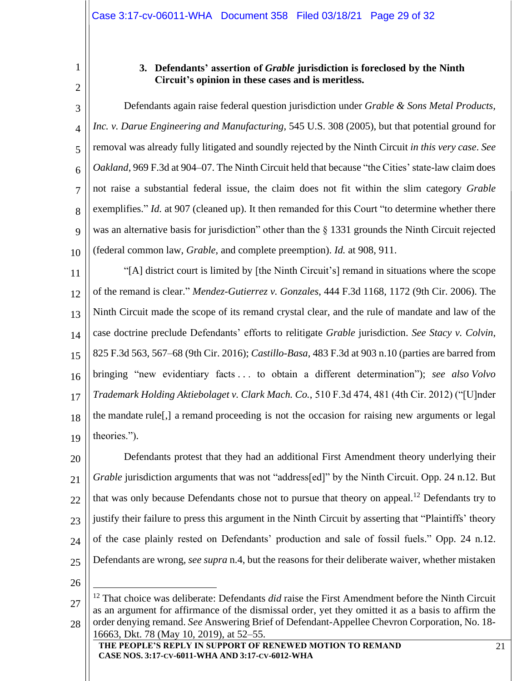# **3. Defendants' assertion of** *Grable* **jurisdiction is foreclosed by the Ninth Circuit's opinion in these cases and is meritless.**

<span id="page-28-0"></span>3 4 5 6 7 8  $\overline{Q}$ 10 Defendants again raise federal question jurisdiction under *Grable & Sons Metal Products, Inc. v. Darue Engineering and Manufacturing*, 545 U.S. 308 (2005), but that potential ground for removal was already fully litigated and soundly rejected by the Ninth Circuit *in this very case*. *See Oakland*, 969 F.3d at 904–07. The Ninth Circuit held that because "the Cities' state-law claim does not raise a substantial federal issue, the claim does not fit within the slim category *Grable* exemplifies." *Id.* at 907 (cleaned up). It then remanded for this Court "to determine whether there was an alternative basis for jurisdiction" other than the § 1331 grounds the Ninth Circuit rejected (federal common law, *Grable*, and complete preemption). *Id.* at 908, 911.

11 12 13 14 15 16 17 18 19 "[A] district court is limited by [the Ninth Circuit's] remand in situations where the scope of the remand is clear." *Mendez-Gutierrez v. Gonzales*, 444 F.3d 1168, 1172 (9th Cir. 2006). The Ninth Circuit made the scope of its remand crystal clear, and the rule of mandate and law of the case doctrine preclude Defendants' efforts to relitigate *Grable* jurisdiction. *See Stacy v. Colvin*, 825 F.3d 563, 567–68 (9th Cir. 2016); *Castillo-Basa*, 483 F.3d at 903 n.10 (parties are barred from bringing "new evidentiary facts . . . to obtain a different determination"); *see also Volvo Trademark Holding Aktiebolaget v. Clark Mach. Co.*, 510 F.3d 474, 481 (4th Cir. 2012) ("[U]nder the mandate rule[,] a remand proceeding is not the occasion for raising new arguments or legal theories.").

20 21 22  $23$ 24 25 Defendants protest that they had an additional First Amendment theory underlying their *Grable* jurisdiction arguments that was not "address[ed]" by the Ninth Circuit. Opp. 24 n.12. But that was only because Defendants chose not to pursue that theory on appeal.<sup>12</sup> Defendants try to justify their failure to press this argument in the Ninth Circuit by asserting that "Plaintiffs' theory of the case plainly rested on Defendants' production and sale of fossil fuels." Opp. 24 n.12. Defendants are wrong, *see supra* n.4, but the reasons for their deliberate waiver, whether mistaken

<sup>27</sup> 28 <sup>12</sup> That choice was deliberate: Defendants *did* raise the First Amendment before the Ninth Circuit as an argument for affirmance of the dismissal order, yet they omitted it as a basis to affirm the order denying remand. *See* Answering Brief of Defendant-Appellee Chevron Corporation, No. 18- 16663, Dkt. 78 (May 10, 2019), at 52–55.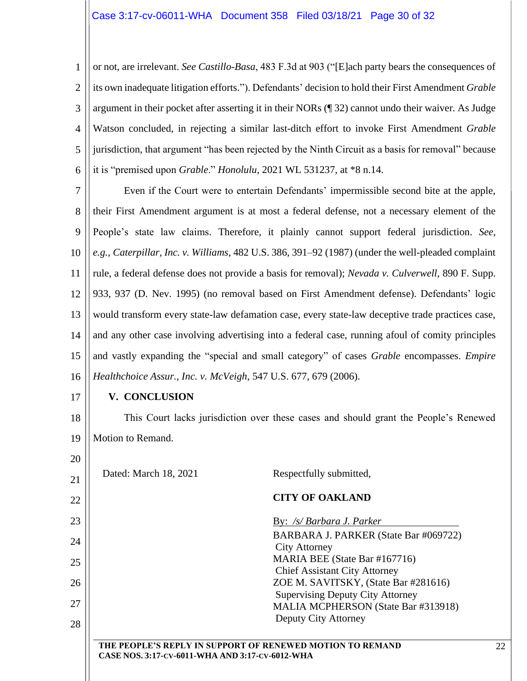1 2 3 4 5 6 or not, are irrelevant. *See Castillo-Basa*, 483 F.3d at 903 ("[E]ach party bears the consequences of its own inadequate litigation efforts."). Defendants' decision to hold their First Amendment *Grable*  argument in their pocket after asserting it in their NORs (¶ 32) cannot undo their waiver. As Judge Watson concluded, in rejecting a similar last-ditch effort to invoke First Amendment *Grable*  jurisdiction, that argument "has been rejected by the Ninth Circuit as a basis for removal" because it is "premised upon *Grable*." *Honolulu*, 2021 WL 531237, at \*8 n.14.

7 8 9 10 11 12 13 14 15 16 Even if the Court were to entertain Defendants' impermissible second bite at the apple, their First Amendment argument is at most a federal defense, not a necessary element of the People's state law claims. Therefore, it plainly cannot support federal jurisdiction. *See, e.g.*, *Caterpillar, Inc. v. Williams*, 482 U.S. 386, 391–92 (1987) (under the well-pleaded complaint rule, a federal defense does not provide a basis for removal); *Nevada v. Culverwell*, 890 F. Supp. 933, 937 (D. Nev. 1995) (no removal based on First Amendment defense). Defendants' logic would transform every state-law defamation case, every state-law deceptive trade practices case, and any other case involving advertising into a federal case, running afoul of comity principles and vastly expanding the "special and small category" of cases *Grable* encompasses. *Empire Healthchoice Assur., Inc. v. McVeigh*, 547 U.S. 677, 679 (2006).

17

20

## <span id="page-29-0"></span>**V. CONCLUSION**

18 19 This Court lacks jurisdiction over these cases and should grant the People's Renewed Motion to Remand.

| 21 | Dated: March 18, 2021                           | Respectfully submitted,                                                        |
|----|-------------------------------------------------|--------------------------------------------------------------------------------|
| 22 |                                                 | <b>CITY OF OAKLAND</b>                                                         |
| 23 |                                                 | By: /s/ Barbara J. Parker                                                      |
| 24 |                                                 | BARBARA J. PARKER (State Bar #069722)<br><b>City Attorney</b>                  |
| 25 |                                                 | MARIA BEE (State Bar #167716)<br><b>Chief Assistant City Attorney</b>          |
| 26 |                                                 | ZOE M. SAVITSKY, (State Bar #281616)                                           |
| 27 |                                                 | <b>Supervising Deputy City Attorney</b><br>MALIA MCPHERSON (State Bar #313918) |
| 28 |                                                 | Deputy City Attorney                                                           |
|    | CASE NOS. 3:17-CV-6011-WHA AND 3:17-CV-6012-WHA | THE PEOPLE'S REPLY IN SUPPORT OF RENEWED MOTION TO REMAND                      |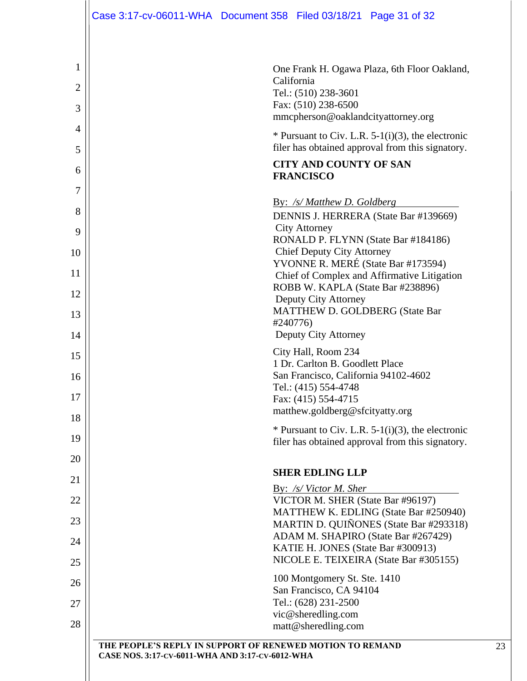|                | Case 3:17-cv-06011-WHA  Document 358  Filed 03/18/21  Page 31 of 32                                          |  |                                                   |                                             |  |  |
|----------------|--------------------------------------------------------------------------------------------------------------|--|---------------------------------------------------|---------------------------------------------|--|--|
|                |                                                                                                              |  |                                                   |                                             |  |  |
| 1              | One Frank H. Ogawa Plaza, 6th Floor Oakland,                                                                 |  |                                                   |                                             |  |  |
| $\overline{2}$ | California<br>Tel.: (510) 238-3601                                                                           |  |                                                   |                                             |  |  |
| 3              | Fax: (510) 238-6500<br>mmcpherson@oaklandcityattorney.org                                                    |  |                                                   |                                             |  |  |
| 4              | * Pursuant to Civ. L.R. $5-1(i)(3)$ , the electronic                                                         |  |                                                   |                                             |  |  |
| 5              | filer has obtained approval from this signatory.<br><b>CITY AND COUNTY OF SAN</b>                            |  |                                                   |                                             |  |  |
| 6              | <b>FRANCISCO</b>                                                                                             |  |                                                   |                                             |  |  |
| 7              |                                                                                                              |  | By: /s/ Matthew D. Goldberg                       |                                             |  |  |
| 8              | DENNIS J. HERRERA (State Bar #139669)                                                                        |  |                                                   |                                             |  |  |
| 9              | <b>City Attorney</b><br>RONALD P. FLYNN (State Bar #184186)                                                  |  |                                                   |                                             |  |  |
| 10             | <b>Chief Deputy City Attorney</b><br>YVONNE R. MERÉ (State Bar #173594)                                      |  |                                                   |                                             |  |  |
| 11             |                                                                                                              |  |                                                   | Chief of Complex and Affirmative Litigation |  |  |
| 12             | ROBB W. KAPLA (State Bar #238896)<br>Deputy City Attorney                                                    |  |                                                   |                                             |  |  |
| 13             |                                                                                                              |  | <b>MATTHEW D. GOLDBERG (State Bar</b><br>#240776) |                                             |  |  |
| 14             | Deputy City Attorney                                                                                         |  |                                                   |                                             |  |  |
| 15             | City Hall, Room 234<br>1 Dr. Carlton B. Goodlett Place                                                       |  |                                                   |                                             |  |  |
| 16             | San Francisco, California 94102-4602<br>Tel.: (415) 554-4748                                                 |  |                                                   |                                             |  |  |
| 17             | Fax: (415) 554-4715                                                                                          |  |                                                   |                                             |  |  |
| 18             |                                                                                                              |  | matthew.goldberg@sfcityatty.org                   |                                             |  |  |
| 19             | * Pursuant to Civ. L.R. $5-1(i)(3)$ , the electronic<br>filer has obtained approval from this signatory.     |  |                                                   |                                             |  |  |
| 20             |                                                                                                              |  |                                                   |                                             |  |  |
| 21             | <b>SHER EDLING LLP</b><br>By: /s/ Victor M. Sher                                                             |  |                                                   |                                             |  |  |
| 22             |                                                                                                              |  | VICTOR M. SHER (State Bar #96197)                 | MATTHEW K. EDLING (State Bar #250940)       |  |  |
| 23             |                                                                                                              |  |                                                   | MARTIN D. QUIÑONES (State Bar #293318)      |  |  |
| 24             | ADAM M. SHAPIRO (State Bar #267429)<br>KATIE H. JONES (State Bar #300913)                                    |  |                                                   |                                             |  |  |
| 25             | NICOLE E. TEIXEIRA (State Bar #305155)                                                                       |  |                                                   |                                             |  |  |
| 26             | 100 Montgomery St. Ste. 1410<br>San Francisco, CA 94104                                                      |  |                                                   |                                             |  |  |
| 27             |                                                                                                              |  | Tel.: (628) 231-2500                              |                                             |  |  |
| 28             |                                                                                                              |  | vic@sheredling.com<br>matt@sheredling.com         |                                             |  |  |
|                | THE PEOPLE'S REPLY IN SUPPORT OF RENEWED MOTION TO REMAND<br>CASE NOS. 3:17-CV-6011-WHA AND 3:17-CV-6012-WHA |  |                                                   |                                             |  |  |
|                |                                                                                                              |  |                                                   |                                             |  |  |